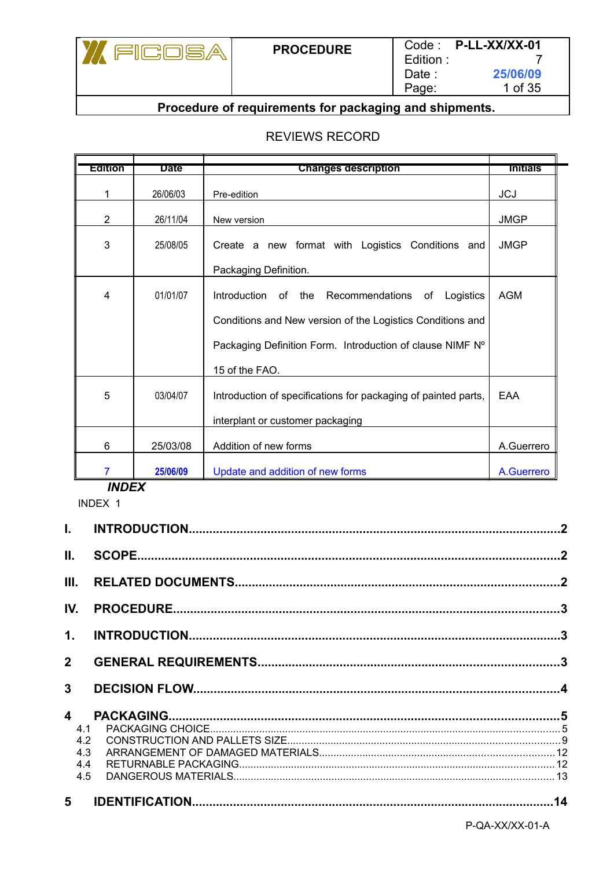

#### REVIEWS RECORD

| Edition | Date     |                                                                | <b>Initials</b> |
|---------|----------|----------------------------------------------------------------|-----------------|
|         |          | <b>Changes description</b>                                     |                 |
|         | 26/06/03 | Pre-edition                                                    | <b>JCJ</b>      |
| 2       | 26/11/04 | New version                                                    | <b>JMGP</b>     |
| 3       | 25/08/05 | Create a new format with Logistics Conditions and              | <b>JMGP</b>     |
|         |          | Packaging Definition.                                          |                 |
| 4       | 01/01/07 | Introduction<br>of the<br>Recommendations<br>Logistics<br>of   | <b>AGM</b>      |
|         |          | Conditions and New version of the Logistics Conditions and     |                 |
|         |          | Packaging Definition Form. Introduction of clause NIMF N°      |                 |
|         |          | 15 of the FAO.                                                 |                 |
| 5       | 03/04/07 | Introduction of specifications for packaging of painted parts, | EAA             |
|         |          | interplant or customer packaging                               |                 |
|         |          |                                                                |                 |
| 6       | 25/03/08 | Addition of new forms                                          | A.Guerrero      |
| 7       | 25/06/09 | Update and addition of new forms                               | A.Guerrero      |

*INDEX*

INDEX 1 **I. INTRODUCTION.............................................................................................................2 II. SCOPE............................................................................................................................2 III. RELATED DOCUMENTS...............................................................................................2 IV. PROCEDURE.................................................................................................................3 1. INTRODUCTION.............................................................................................................3 2 GENERAL REQUIREMENTS........................................................................................3 3 DECISION FLOW...........................................................................................................4 4 PACKAGING..................................................................................................................5** 4.1 PACKAGING CHOICE.........................................................................................................................5 4.2 CONSTRUCTION AND PALLETS SIZE..............................................................................................9 4.3 ARRANGEMENT OF DAMAGED MATERIALS.................................................................................12 4.4 RETURNABLE PACKAGING.............................................................................................................12 4.5 DANGEROUS MATERIALS...............................................................................................................13 **5 IDENTIFICATION..........................................................................................................14** P-QA-XX/XX-01-A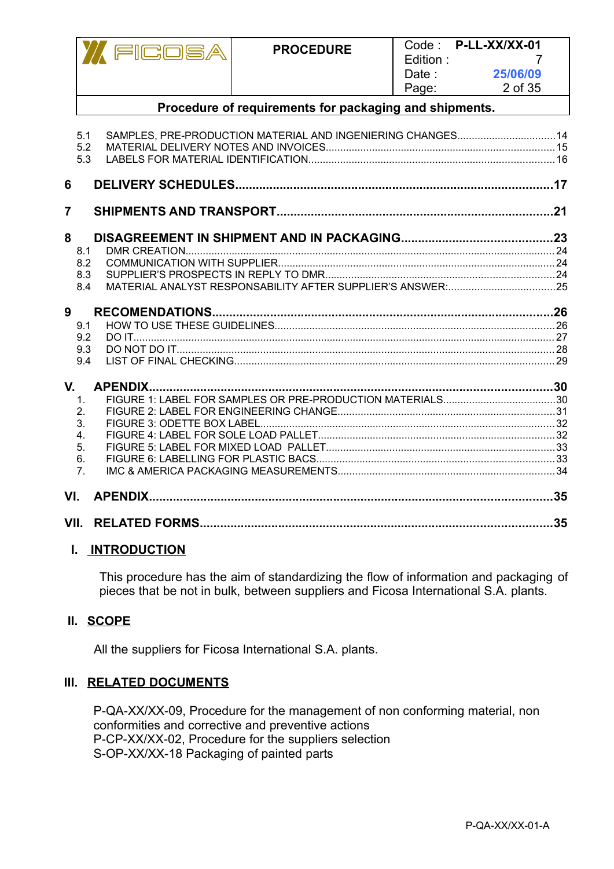|                |                                                                | FICOSA          | <b>PROCEDURE</b>                                            | Code:<br>Edition:<br>Date:<br>Page: | P-LL-XX/XX-01<br>25/06/09<br>2 of 35 |
|----------------|----------------------------------------------------------------|-----------------|-------------------------------------------------------------|-------------------------------------|--------------------------------------|
|                |                                                                |                 | Procedure of requirements for packaging and shipments.      |                                     |                                      |
|                | 5.1<br>5.2<br>5.3                                              |                 | SAMPLES, PRE-PRODUCTION MATERIAL AND INGENIERING CHANGES 14 |                                     |                                      |
| 6              |                                                                |                 |                                                             |                                     |                                      |
| $\overline{7}$ |                                                                |                 |                                                             |                                     |                                      |
| 8              | 8.1<br>8.2<br>8.3<br>8.4                                       |                 |                                                             |                                     |                                      |
| 9              | 9.1<br>9.2<br>9.3<br>9.4                                       |                 |                                                             |                                     |                                      |
| V.             | 1.<br>2.<br>3.<br>4 <sup>1</sup><br>5.<br>6.<br>7 <sub>1</sub> | <b>APENDIX.</b> |                                                             |                                     |                                      |
| VI.            |                                                                |                 |                                                             |                                     | .35                                  |
|                | VII.                                                           |                 |                                                             |                                     | 35                                   |

#### **I. INTRODUCTION**

This procedure has the aim of standardizing the flow of information and packaging of pieces that be not in bulk, between suppliers and Ficosa International S.A. plants.

#### **II. SCOPE**

All the suppliers for Ficosa International S.A. plants.

#### **III. RELATED DOCUMENTS**

P-QA-XX/XX-09, Procedure for the management of non conforming material, non conformities and corrective and preventive actions P-CP-XX/XX-02, Procedure for the suppliers selection S-OP-XX/XX-18 Packaging of painted parts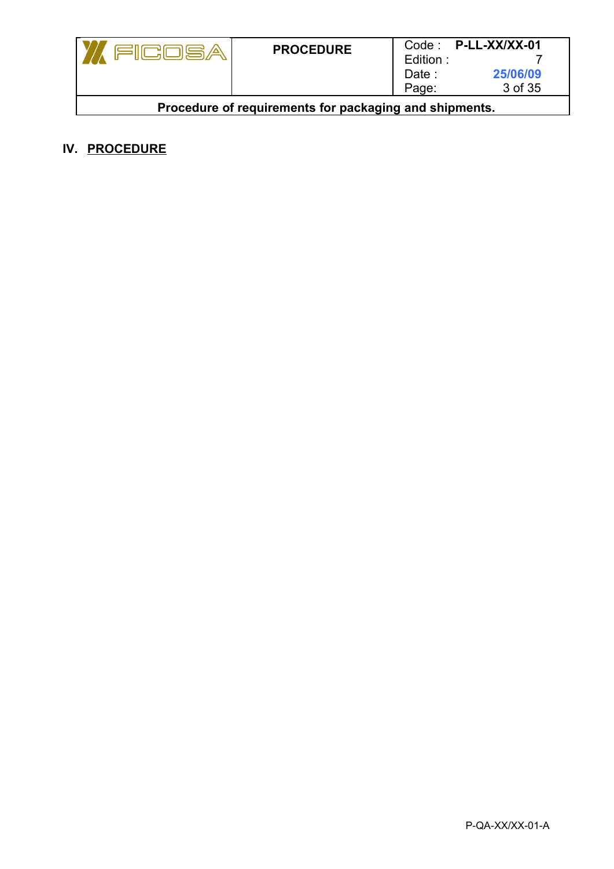|                                                        | <b>PROCEDURE</b> |          | $Code:$ P-LL-XX/XX-01 |  |
|--------------------------------------------------------|------------------|----------|-----------------------|--|
|                                                        |                  | Edition: |                       |  |
|                                                        |                  | Date :   | 25/06/09              |  |
|                                                        |                  | Page:    | 3 of 35               |  |
| Procedure of requirements for packaging and shipments. |                  |          |                       |  |

## **IV. PROCEDURE**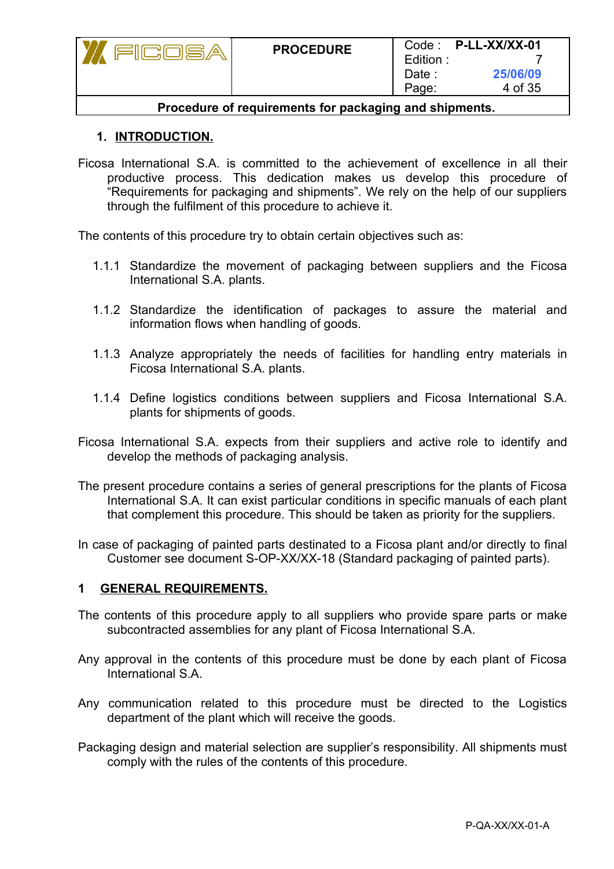|                                                        | <b>PROCEDURE</b> | Edition:<br>Date :<br>Page: | Code: P-LL-XX/XX-01<br>25/06/09<br>4 of 35 |  |
|--------------------------------------------------------|------------------|-----------------------------|--------------------------------------------|--|
| Procedure of requirements for packaging and shipments. |                  |                             |                                            |  |

## **1. INTRODUCTION.**

Ficosa International S.A. is committed to the achievement of excellence in all their productive process. This dedication makes us develop this procedure of "Requirements for packaging and shipments". We rely on the help of our suppliers through the fulfilment of this procedure to achieve it.

The contents of this procedure try to obtain certain objectives such as:

- 1.1.1 Standardize the movement of packaging between suppliers and the Ficosa International S.A. plants.
- 1.1.2 Standardize the identification of packages to assure the material and information flows when handling of goods.
- 1.1.3 Analyze appropriately the needs of facilities for handling entry materials in Ficosa International S.A. plants.
- 1.1.4 Define logistics conditions between suppliers and Ficosa International S.A. plants for shipments of goods.
- Ficosa International S.A. expects from their suppliers and active role to identify and develop the methods of packaging analysis.
- The present procedure contains a series of general prescriptions for the plants of Ficosa International S.A. It can exist particular conditions in specific manuals of each plant that complement this procedure. This should be taken as priority for the suppliers.
- In case of packaging of painted parts destinated to a Ficosa plant and/or directly to final Customer see document S-OP-XX/XX-18 (Standard packaging of painted parts).

#### **1 GENERAL REQUIREMENTS.**

- The contents of this procedure apply to all suppliers who provide spare parts or make subcontracted assemblies for any plant of Ficosa International S.A.
- Any approval in the contents of this procedure must be done by each plant of Ficosa International S.A.
- Any communication related to this procedure must be directed to the Logistics department of the plant which will receive the goods.
- Packaging design and material selection are supplier's responsibility. All shipments must comply with the rules of the contents of this procedure.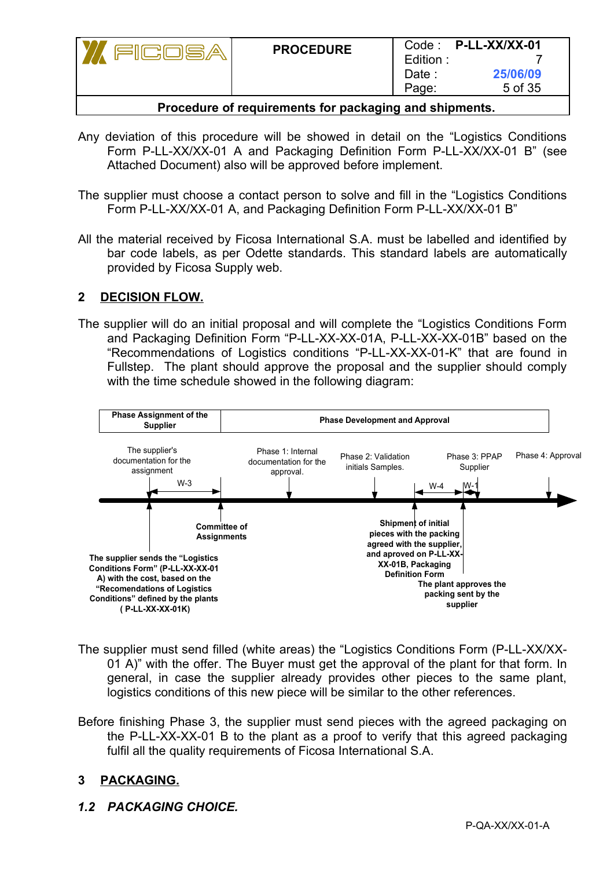|                                                          | <b>PROCEDURE</b> | Edition:<br>Date :<br>Page: | Code: P-LL-XX/XX-01<br>25/06/09<br>5 of 35 |
|----------------------------------------------------------|------------------|-----------------------------|--------------------------------------------|
| Daaaaduus af asaulasassata faa asalcaalaa aad akkaassata |                  |                             |                                            |

- **Procedure of requirements for packaging and shipments.**
- Any deviation of this procedure will be showed in detail on the "Logistics Conditions Form P-LL-XX/XX-01 A and Packaging Definition Form P-LL-XX/XX-01 B" (see Attached Document) also will be approved before implement.
- The supplier must choose a contact person to solve and fill in the "Logistics Conditions Form P-LL-XX/XX-01 A, and Packaging Definition Form P-LL-XX/XX-01 B"
- All the material received by Ficosa International S.A. must be labelled and identified by bar code labels, as per Odette standards. This standard labels are automatically provided by Ficosa Supply web.

## **2 DECISION FLOW.**

The supplier will do an initial proposal and will complete the "Logistics Conditions Form and Packaging Definition Form "P-LL-XX-XX-01A, P-LL-XX-XX-01B" based on the "Recommendations of Logistics conditions "P-LL-XX-XX-01-K" that are found in Fullstep. The plant should approve the proposal and the supplier should comply with the time schedule showed in the following diagram:



- The supplier must send filled (white areas) the "Logistics Conditions Form (P-LL-XX/XX-01 A)" with the offer. The Buyer must get the approval of the plant for that form. In general, in case the supplier already provides other pieces to the same plant, logistics conditions of this new piece will be similar to the other references.
- Before finishing Phase 3, the supplier must send pieces with the agreed packaging on the P-LL-XX-XX-01 B to the plant as a proof to verify that this agreed packaging fulfil all the quality requirements of Ficosa International S.A.

## **3 PACKAGING.**

*1.2 PACKAGING CHOICE.*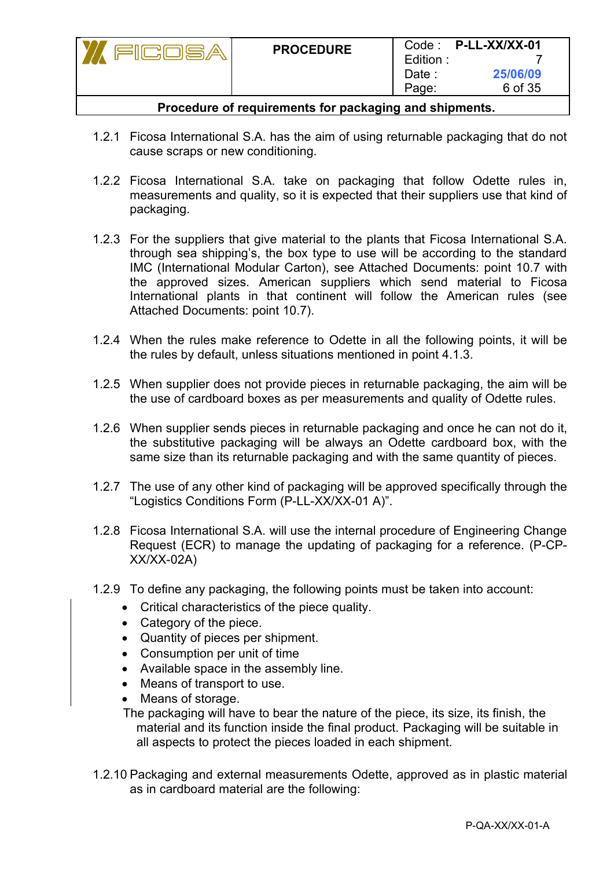| <u>alliulula y</u>                                                           | <b>PROCEDURE</b> | Edition:<br>Date :<br>Page: | Code: P-LL-XX/XX-01<br>25/06/09<br>6 of 35 |  |
|------------------------------------------------------------------------------|------------------|-----------------------------|--------------------------------------------|--|
| The constant of the constant of the constant of the constant of the constant |                  |                             |                                            |  |

- **Procedure of requirements for packaging and shipments.**
- 1.2.1 Ficosa International S.A. has the aim of using returnable packaging that do not cause scraps or new conditioning.
- 1.2.2 Ficosa International S.A. take on packaging that follow Odette rules in, measurements and quality, so it is expected that their suppliers use that kind of packaging.
- 1.2.3 For the suppliers that give material to the plants that Ficosa International S.A. through sea shipping's, the box type to use will be according to the standard IMC (International Modular Carton), see Attached Documents: point 10.7 with the approved sizes. American suppliers which send material to Ficosa International plants in that continent will follow the American rules (see Attached Documents: point 10.7).
- 1.2.4 When the rules make reference to Odette in all the following points, it will be the rules by default, unless situations mentioned in point 4.1.3.
- 1.2.5 When supplier does not provide pieces in returnable packaging, the aim will be the use of cardboard boxes as per measurements and quality of Odette rules.
- 1.2.6 When supplier sends pieces in returnable packaging and once he can not do it, the substitutive packaging will be always an Odette cardboard box, with the same size than its returnable packaging and with the same quantity of pieces.
- 1.2.7 The use of any other kind of packaging will be approved specifically through the "Logistics Conditions Form (P-LL-XX/XX-01 A)".
- 1.2.8 Ficosa International S.A. will use the internal procedure of Engineering Change Request (ECR) to manage the updating of packaging for a reference. (P-CP-XX/XX-02A)
- 1.2.9 To define any packaging, the following points must be taken into account:
	- Critical characteristics of the piece quality.
	- Category of the piece.
	- Quantity of pieces per shipment.
	- Consumption per unit of time
	- Available space in the assembly line.
	- Means of transport to use.
	- Means of storage.

The packaging will have to bear the nature of the piece, its size, its finish, the material and its function inside the final product. Packaging will be suitable in all aspects to protect the pieces loaded in each shipment.

1.2.10 Packaging and external measurements Odette, approved as in plastic material as in cardboard material are the following: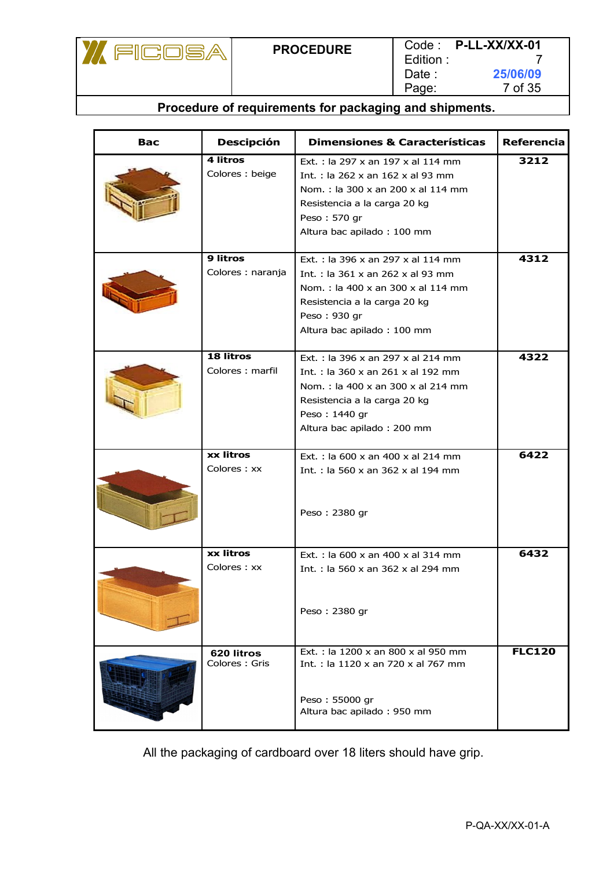

| Bac | <b>Descipción</b>                    | <b>Dimensiones &amp; Características</b>                                                                                                                                                                           | <b>Referencia</b> |
|-----|--------------------------------------|--------------------------------------------------------------------------------------------------------------------------------------------------------------------------------------------------------------------|-------------------|
|     | 4 litros<br>Colores: beige           | Ext.: la 297 x an 197 x al 114 mm<br>Int.: la 262 x an 162 x al 93 mm<br>Nom.: la 300 x an 200 x al 114 mm<br>Resistencia a la carga 20 kg<br>Peso: 570 gr<br>Altura bac apilado: 100 mm                           | 3212              |
|     | <b>9 litros</b><br>Colores : naranja | Ext.: la 396 x an 297 x al 114 mm<br>Int.: la 361 x an 262 x al 93 mm<br>Nom.: la 400 x an 300 x al 114 mm<br>Resistencia a la carga 20 kg<br>Peso: 930 gr<br>Altura bac apilado: 100 mm                           | 4312              |
|     | 18 litros<br>Colores: marfil         | Ext.: la 396 x an 297 x al 214 mm<br>Int.: la $360 \times$ an $261 \times$ al $192 \text{ mm}$<br>Nom.: la 400 x an 300 x al 214 mm<br>Resistencia a la carga 20 kg<br>Peso: 1440 gr<br>Altura bac apilado: 200 mm | 4322              |
|     | xx litros<br>Colores: xx             | Ext.: la 600 x an 400 x al 214 mm<br>Int.: la 560 x an 362 x al 194 mm<br>Peso: 2380 gr                                                                                                                            | 6422              |
|     | xx litros<br>Colores: xx             | Ext.: la 600 x an 400 x al 314 mm<br>Int.: la 560 x an 362 x al 294 mm<br>Peso: 2380 gr                                                                                                                            | 6432              |
|     | 620 litros<br>Colores: Gris          | Ext.: la 1200 x an 800 x al 950 mm<br>Int.: la 1120 x an 720 x al 767 mm<br>Peso: 55000 gr<br>Altura bac apilado: 950 mm                                                                                           | <b>FLC120</b>     |

All the packaging of cardboard over 18 liters should have grip.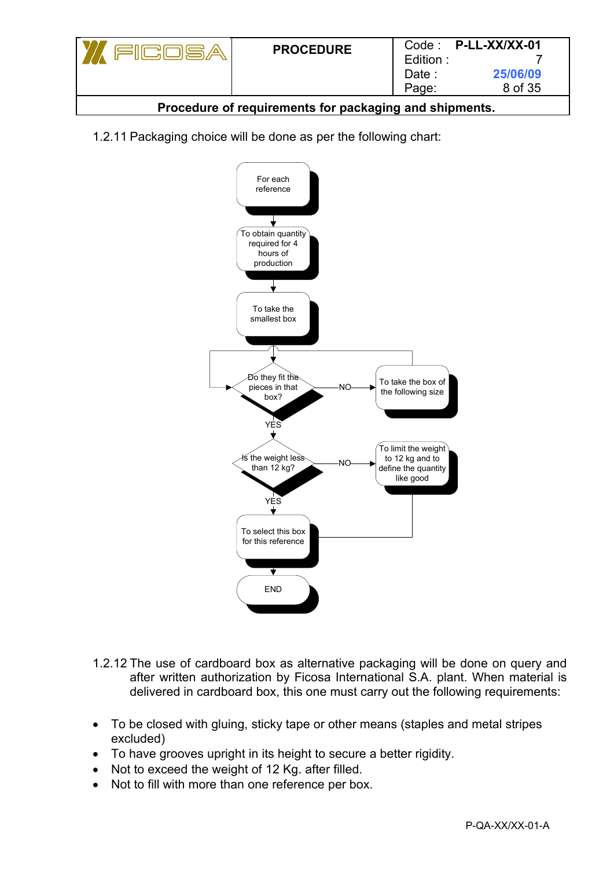| كالساني الل                                            | <b>PROCEDURE</b> | Edition:<br>Date :<br>Page: | $Code:$ P-LL-XX/XX-01<br>25/06/09<br>8 of 35 |  |  |
|--------------------------------------------------------|------------------|-----------------------------|----------------------------------------------|--|--|
| Procedure of requirements for packaging and shipments. |                  |                             |                                              |  |  |

1.2.11 Packaging choice will be done as per the following chart:



- 1.2.12 The use of cardboard box as alternative packaging will be done on query and after written authorization by Ficosa International S.A. plant. When material is delivered in cardboard box, this one must carry out the following requirements:
- To be closed with gluing, sticky tape or other means (staples and metal stripes excluded)
- To have grooves upright in its height to secure a better rigidity.
- Not to exceed the weight of 12 Kg. after filled.
- Not to fill with more than one reference per box.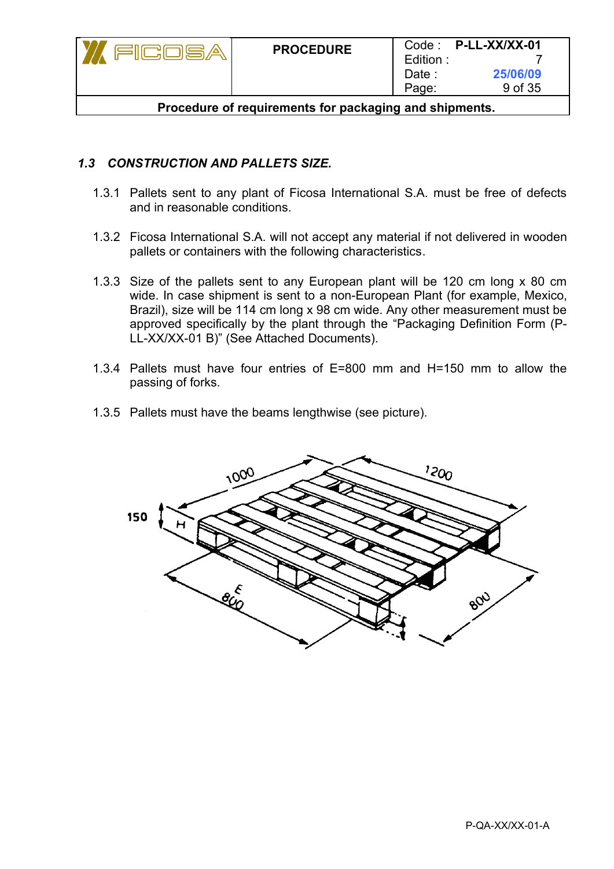| 계다이름상                                                  | <b>PROCEDURE</b> | Edition:<br>Date :<br>Page: | $Code:$ P-LL-XX/XX-01<br>25/06/09<br>9 of 35 |  |
|--------------------------------------------------------|------------------|-----------------------------|----------------------------------------------|--|
| Procedure of requirements for packaging and shipments. |                  |                             |                                              |  |

### *1.3 CONSTRUCTION AND PALLETS SIZE.*

- 1.3.1 Pallets sent to any plant of Ficosa International S.A. must be free of defects and in reasonable conditions.
- 1.3.2 Ficosa International S.A. will not accept any material if not delivered in wooden pallets or containers with the following characteristics.
- 1.3.3 Size of the pallets sent to any European plant will be 120 cm long x 80 cm wide. In case shipment is sent to a non-European Plant (for example, Mexico, Brazil), size will be 114 cm long x 98 cm wide. Any other measurement must be approved specifically by the plant through the "Packaging Definition Form (P-LL-XX/XX-01 B)" (See Attached Documents).
- 1.3.4 Pallets must have four entries of E=800 mm and H=150 mm to allow the passing of forks.
- 1.3.5 Pallets must have the beams lengthwise (see picture).

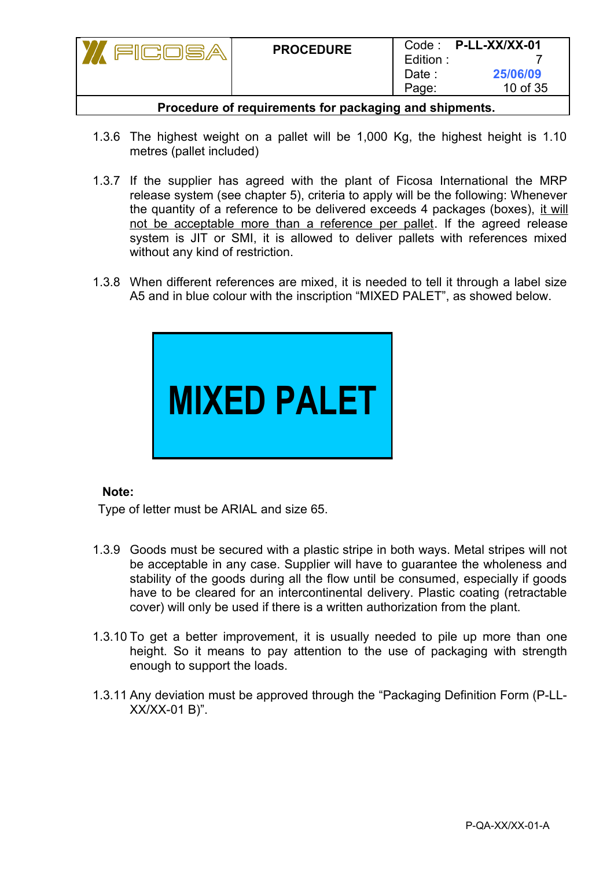|                                                        | <b>PROCEDURE</b> | Edition:<br>Date :<br>Page: | $Code:$ P-LL-XX/XX-01<br>25/06/09<br>10 of 35 |  |
|--------------------------------------------------------|------------------|-----------------------------|-----------------------------------------------|--|
| Procedure of requirements for packaging and shipments. |                  |                             |                                               |  |

- 1.3.6 The highest weight on a pallet will be 1,000 Kg, the highest height is 1.10 metres (pallet included)
- 1.3.7 If the supplier has agreed with the plant of Ficosa International the MRP release system (see chapter 5), criteria to apply will be the following: Whenever the quantity of a reference to be delivered exceeds 4 packages (boxes), it will not be acceptable more than a reference per pallet. If the agreed release system is JIT or SMI, it is allowed to deliver pallets with references mixed without any kind of restriction.
- 1.3.8 When different references are mixed, it is needed to tell it through a label size A5 and in blue colour with the inscription "MIXED PALET", as showed below.



#### **Note:**

Type of letter must be ARIAL and size 65.

- 1.3.9 Goods must be secured with a plastic stripe in both ways. Metal stripes will not be acceptable in any case. Supplier will have to guarantee the wholeness and stability of the goods during all the flow until be consumed, especially if goods have to be cleared for an intercontinental delivery. Plastic coating (retractable cover) will only be used if there is a written authorization from the plant.
- 1.3.10 To get a better improvement, it is usually needed to pile up more than one height. So it means to pay attention to the use of packaging with strength enough to support the loads.
- 1.3.11 Any deviation must be approved through the "Packaging Definition Form (P-LL-XX/XX-01 B)".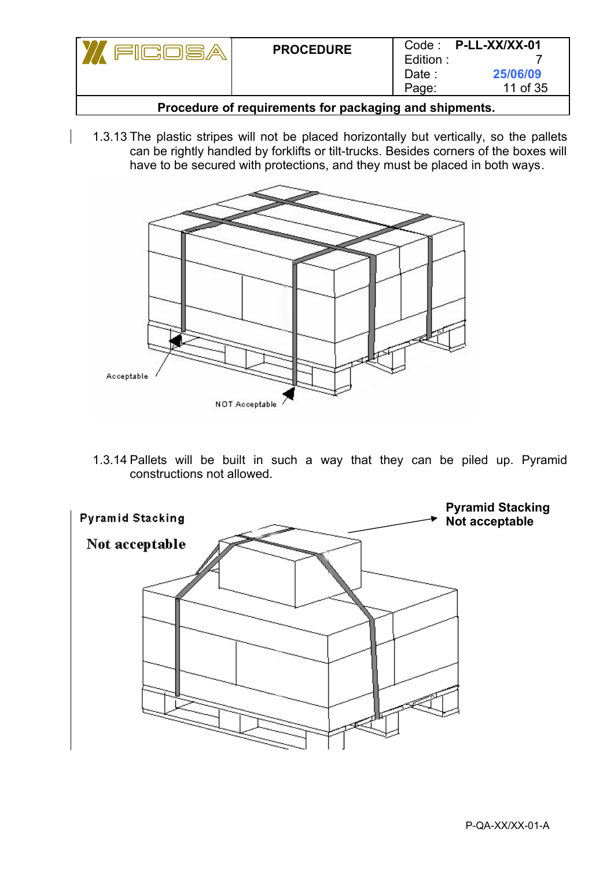|        | <b>PROCEDURE</b> | Edition:<br>Date :<br>Page: | Code: P-LL-XX/XX-01<br>25/06/09<br>11 of 35 |
|--------|------------------|-----------------------------|---------------------------------------------|
| $\sim$ |                  |                             |                                             |

- **Procedure of requirements for packaging and shipments.**
- 1.3.13 The plastic stripes will not be placed horizontally but vertically, so the pallets can be rightly handled by forklifts or tilt-trucks. Besides corners of the boxes will have to be secured with protections, and they must be placed in both ways.



1.3.14 Pallets will be built in such a way that they can be piled up. Pyramid constructions not allowed.

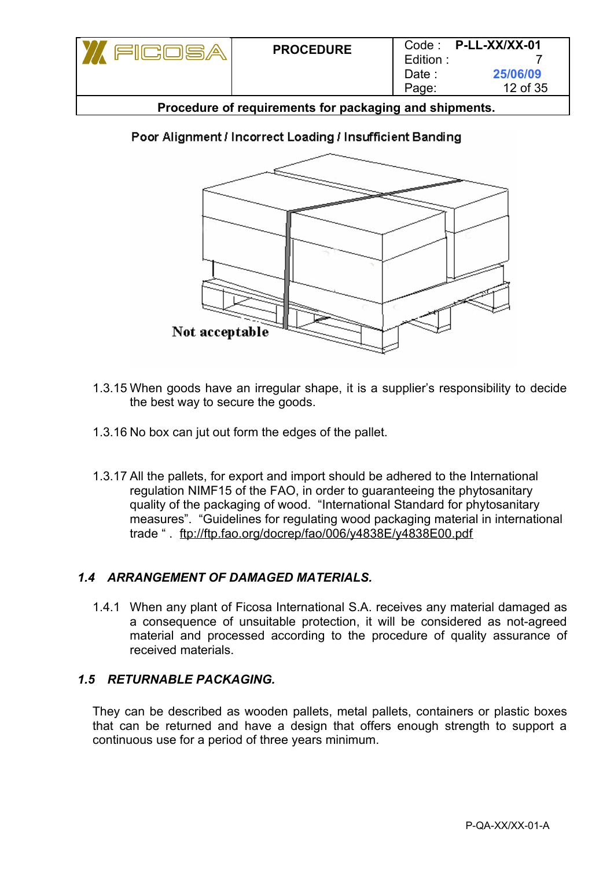| کا اصلاح الل                                           | <b>PROCEDURE</b> | Edition :<br>Date :<br>Page: | $Code:$ P-LL-XX/XX-01<br>25/06/09<br>12 of 35 |  |
|--------------------------------------------------------|------------------|------------------------------|-----------------------------------------------|--|
| Procedure of requirements for packaging and shipments. |                  |                              |                                               |  |

# Poor Alignment / Incorrect Loading / Insufficient Banding



- 1.3.15 When goods have an irregular shape, it is a supplier's responsibility to decide the best way to secure the goods.
- 1.3.16 No box can jut out form the edges of the pallet.
- 1.3.17 All the pallets, for export and import should be adhered to the International regulation NIMF15 of the FAO, in order to guaranteeing the phytosanitary quality of the packaging of wood. "International Standard for phytosanitary measures". "Guidelines for regulating wood packaging material in international trade " . ftp://ftp.fao.org/docrep/fao/006/y4838E/y4838E00.pdf

## *1.4 ARRANGEMENT OF DAMAGED MATERIALS.*

1.4.1 When any plant of Ficosa International S.A. receives any material damaged as a consequence of unsuitable protection, it will be considered as not-agreed material and processed according to the procedure of quality assurance of received materials.

#### *1.5 RETURNABLE PACKAGING.*

They can be described as wooden pallets, metal pallets, containers or plastic boxes that can be returned and have a design that offers enough strength to support a continuous use for a period of three years minimum.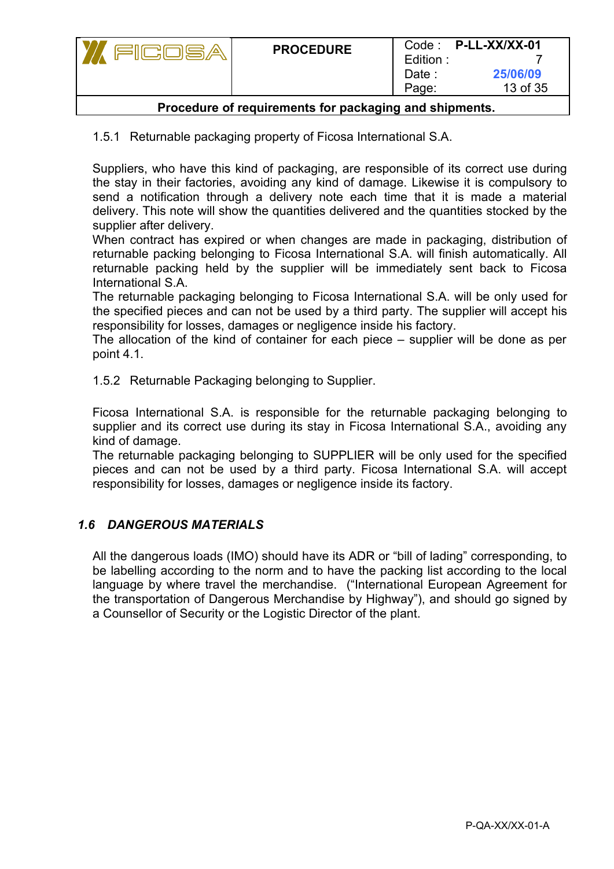|                                                      | <b>PROCEDURE</b> | Edition:<br>Date :<br>Page: | Code: P-LL-XX/XX-01<br>25/06/09<br>13 of 35 |
|------------------------------------------------------|------------------|-----------------------------|---------------------------------------------|
| Dessadues of escuiesments farmaskaping and abinmants |                  |                             |                                             |

1.5.1 Returnable packaging property of Ficosa International S.A.

Suppliers, who have this kind of packaging, are responsible of its correct use during the stay in their factories, avoiding any kind of damage. Likewise it is compulsory to send a notification through a delivery note each time that it is made a material delivery. This note will show the quantities delivered and the quantities stocked by the supplier after delivery.

When contract has expired or when changes are made in packaging, distribution of returnable packing belonging to Ficosa International S.A. will finish automatically. All returnable packing held by the supplier will be immediately sent back to Ficosa International S.A.

The returnable packaging belonging to Ficosa International S.A. will be only used for the specified pieces and can not be used by a third party. The supplier will accept his responsibility for losses, damages or negligence inside his factory.

The allocation of the kind of container for each piece – supplier will be done as per point 4.1.

1.5.2 Returnable Packaging belonging to Supplier.

Ficosa International S.A. is responsible for the returnable packaging belonging to supplier and its correct use during its stay in Ficosa International S.A., avoiding any kind of damage.

The returnable packaging belonging to SUPPLIER will be only used for the specified pieces and can not be used by a third party. Ficosa International S.A. will accept responsibility for losses, damages or negligence inside its factory.

## *1.6 DANGEROUS MATERIALS*

All the dangerous loads (IMO) should have its ADR or "bill of lading" corresponding, to be labelling according to the norm and to have the packing list according to the local language by where travel the merchandise. ("International European Agreement for the transportation of Dangerous Merchandise by Highway"), and should go signed by a Counsellor of Security or the Logistic Director of the plant.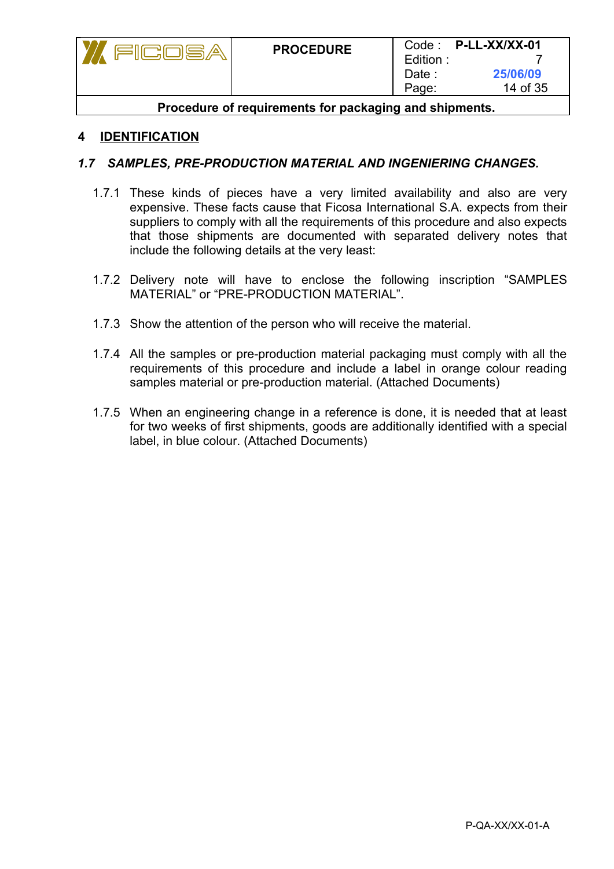| کالسائس                                                | <b>PROCEDURE</b> | Edition:<br>Date :<br>Page: | $Code:$ P-LL-XX/XX-01<br>25/06/09<br>14 of 35 |
|--------------------------------------------------------|------------------|-----------------------------|-----------------------------------------------|
| Procedure of requirements for packaging and shipments. |                  |                             |                                               |

#### **4 IDENTIFICATION**

#### *1.7 SAMPLES, PRE-PRODUCTION MATERIAL AND INGENIERING CHANGES.*

- 1.7.1 These kinds of pieces have a very limited availability and also are very expensive. These facts cause that Ficosa International S.A. expects from their suppliers to comply with all the requirements of this procedure and also expects that those shipments are documented with separated delivery notes that include the following details at the very least:
- 1.7.2 Delivery note will have to enclose the following inscription "SAMPLES MATERIAL" or "PRE-PRODUCTION MATERIAL".
- 1.7.3 Show the attention of the person who will receive the material.
- 1.7.4 All the samples or pre-production material packaging must comply with all the requirements of this procedure and include a label in orange colour reading samples material or pre-production material. (Attached Documents)
- 1.7.5 When an engineering change in a reference is done, it is needed that at least for two weeks of first shipments, goods are additionally identified with a special label, in blue colour. (Attached Documents)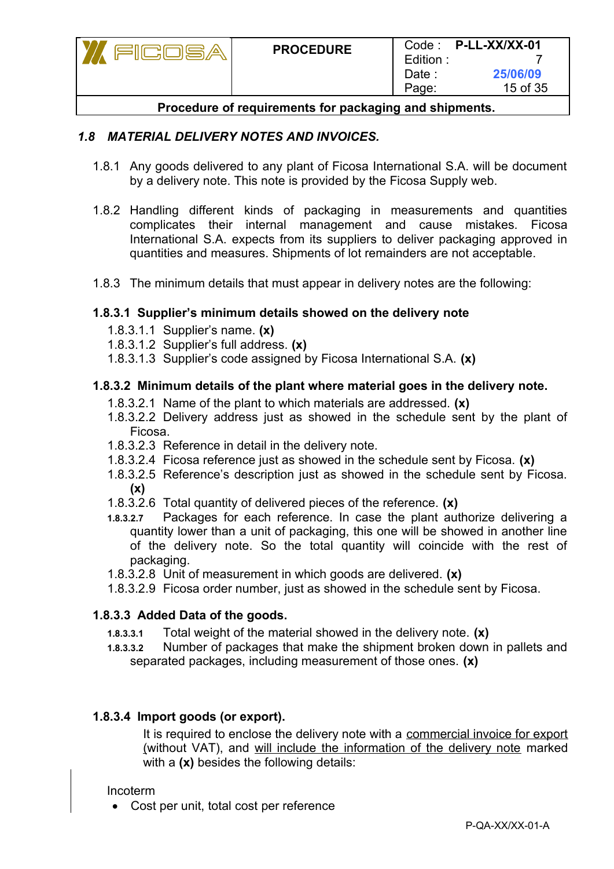|                                                          | <b>PROCEDURE</b> | Edition:<br>Date :<br>Page: | Code: P-LL-XX/XX-01<br>25/06/09<br>15 of 35 |
|----------------------------------------------------------|------------------|-----------------------------|---------------------------------------------|
| Daaaaduus af asaulasassata faa asalcaalaa aad aldamsanta |                  |                             |                                             |

## *1.8 MATERIAL DELIVERY NOTES AND INVOICES.*

- 1.8.1 Any goods delivered to any plant of Ficosa International S.A. will be document by a delivery note. This note is provided by the Ficosa Supply web.
- 1.8.2 Handling different kinds of packaging in measurements and quantities complicates their internal management and cause mistakes. Ficosa International S.A. expects from its suppliers to deliver packaging approved in quantities and measures. Shipments of lot remainders are not acceptable.
- 1.8.3 The minimum details that must appear in delivery notes are the following:

#### **1.8.3.1 Supplier's minimum details showed on the delivery note**

- 1.8.3.1.1 Supplier's name. **(x)**
- 1.8.3.1.2 Supplier's full address. **(x)**
- 1.8.3.1.3 Supplier's code assigned by Ficosa International S.A. **(x)**

#### **1.8.3.2 Minimum details of the plant where material goes in the delivery note.**

- 1.8.3.2.1 Name of the plant to which materials are addressed. **(x)**
- 1.8.3.2.2 Delivery address just as showed in the schedule sent by the plant of Ficosa.
- 1.8.3.2.3 Reference in detail in the delivery note.
- 1.8.3.2.4 Ficosa reference just as showed in the schedule sent by Ficosa. **(x)**
- 1.8.3.2.5 Reference's description just as showed in the schedule sent by Ficosa. **(x)**
- 1.8.3.2.6 Total quantity of delivered pieces of the reference. **(x)**
- **1.8.3.2.7** Packages for each reference. In case the plant authorize delivering a quantity lower than a unit of packaging, this one will be showed in another line of the delivery note. So the total quantity will coincide with the rest of packaging.
- 1.8.3.2.8 Unit of measurement in which goods are delivered. **(x)**
- 1.8.3.2.9 Ficosa order number, just as showed in the schedule sent by Ficosa.

#### **1.8.3.3 Added Data of the goods.**

- **1.8.3.3.1** Total weight of the material showed in the delivery note. **(x)**
- **1.8.3.3.2** Number of packages that make the shipment broken down in pallets and separated packages, including measurement of those ones. **(x)**

#### **1.8.3.4 Import goods (or export).**

It is required to enclose the delivery note with a commercial invoice for export (without VAT), and will include the information of the delivery note marked with a **(x)** besides the following details:

#### Incoterm

Cost per unit, total cost per reference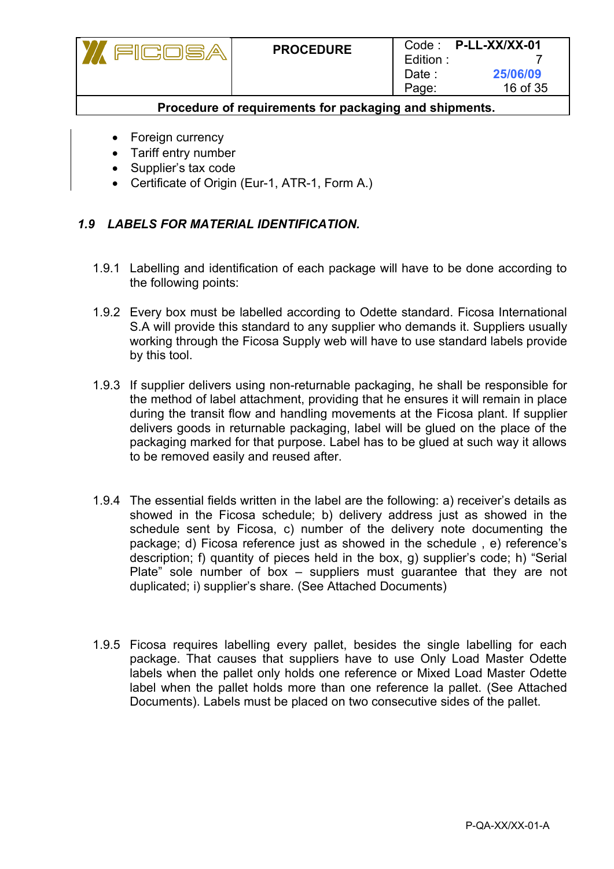Foreign currency

FICO

Tariff entry number

7S

- Supplier's tax code
- Certificate of Origin (Eur-1, ATR-1, Form A.)

## *1.9 LABELS FOR MATERIAL IDENTIFICATION.*

- 1.9.1 Labelling and identification of each package will have to be done according to the following points:
- 1.9.2 Every box must be labelled according to Odette standard. Ficosa International S.A will provide this standard to any supplier who demands it. Suppliers usually working through the Ficosa Supply web will have to use standard labels provide by this tool.
- 1.9.3 If supplier delivers using non-returnable packaging, he shall be responsible for the method of label attachment, providing that he ensures it will remain in place during the transit flow and handling movements at the Ficosa plant. If supplier delivers goods in returnable packaging, label will be glued on the place of the packaging marked for that purpose. Label has to be glued at such way it allows to be removed easily and reused after.
- 1.9.4 The essential fields written in the label are the following: a) receiver's details as showed in the Ficosa schedule; b) delivery address just as showed in the schedule sent by Ficosa, c) number of the delivery note documenting the package; d) Ficosa reference just as showed in the schedule , e) reference's description; f) quantity of pieces held in the box, g) supplier's code; h) "Serial Plate" sole number of box – suppliers must guarantee that they are not duplicated; i) supplier's share. (See Attached Documents)
- 1.9.5 Ficosa requires labelling every pallet, besides the single labelling for each package. That causes that suppliers have to use Only Load Master Odette labels when the pallet only holds one reference or Mixed Load Master Odette label when the pallet holds more than one reference la pallet. (See Attached Documents). Labels must be placed on two consecutive sides of the pallet.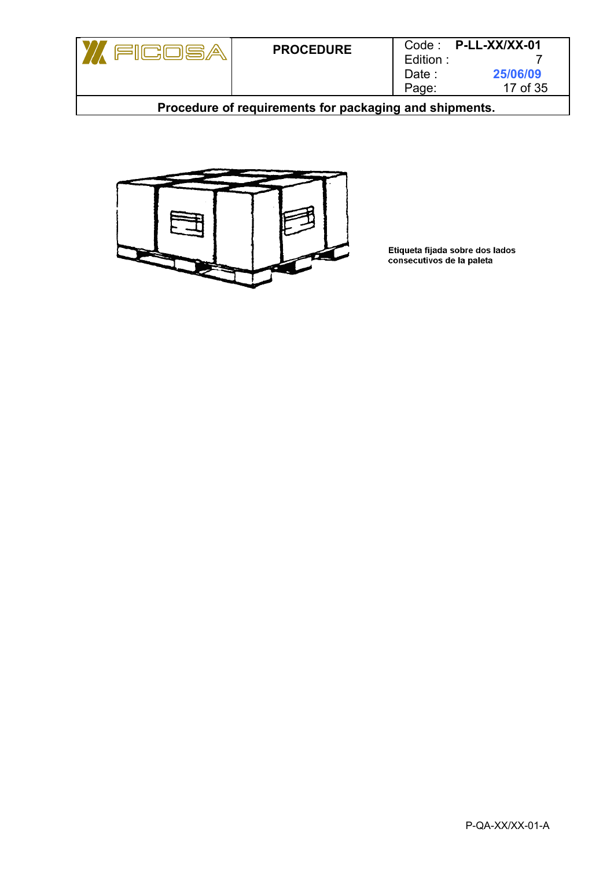



Etiqueta fijada sobre dos lados<br>consecutivos de la paleta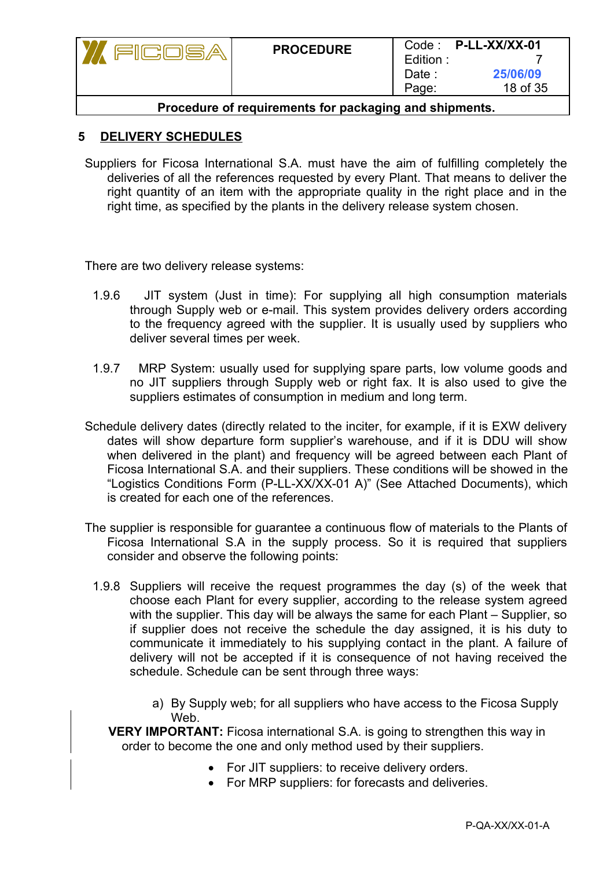| ICOSA                                                  | <b>PROCEDURE</b> | Edition:<br>Date :<br>Page: | $Code:$ P-LL-XX/XX-01<br>25/06/09<br>18 of 35 |
|--------------------------------------------------------|------------------|-----------------------------|-----------------------------------------------|
| Procedure of requirements for packaging and shipments. |                  |                             |                                               |

#### **5 DELIVERY SCHEDULES**

Suppliers for Ficosa International S.A. must have the aim of fulfilling completely the deliveries of all the references requested by every Plant. That means to deliver the right quantity of an item with the appropriate quality in the right place and in the right time, as specified by the plants in the delivery release system chosen.

There are two delivery release systems:

- 1.9.6 JIT system (Just in time): For supplying all high consumption materials through Supply web or e-mail. This system provides delivery orders according to the frequency agreed with the supplier. It is usually used by suppliers who deliver several times per week.
- 1.9.7 MRP System: usually used for supplying spare parts, low volume goods and no JIT suppliers through Supply web or right fax. It is also used to give the suppliers estimates of consumption in medium and long term.
- Schedule delivery dates (directly related to the inciter, for example, if it is EXW delivery dates will show departure form supplier's warehouse, and if it is DDU will show when delivered in the plant) and frequency will be agreed between each Plant of Ficosa International S.A. and their suppliers. These conditions will be showed in the "Logistics Conditions Form (P-LL-XX/XX-01 A)" (See Attached Documents), which is created for each one of the references.
- The supplier is responsible for guarantee a continuous flow of materials to the Plants of Ficosa International S.A in the supply process. So it is required that suppliers consider and observe the following points:
	- 1.9.8 Suppliers will receive the request programmes the day (s) of the week that choose each Plant for every supplier, according to the release system agreed with the supplier. This day will be always the same for each Plant – Supplier, so if supplier does not receive the schedule the day assigned, it is his duty to communicate it immediately to his supplying contact in the plant. A failure of delivery will not be accepted if it is consequence of not having received the schedule. Schedule can be sent through three ways:
		- a) By Supply web; for all suppliers who have access to the Ficosa Supply Web.

**VERY IMPORTANT:** Ficosa international S.A. is going to strengthen this way in order to become the one and only method used by their suppliers.

- For JIT suppliers: to receive delivery orders.
- For MRP suppliers: for forecasts and deliveries.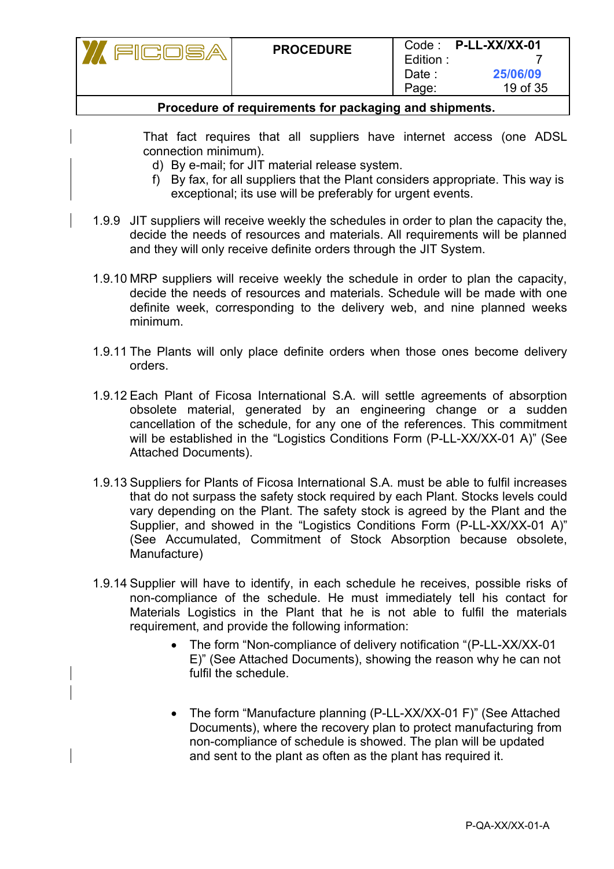| <b>PROCEDURE</b> | Code:<br>Edition | P-LL-XX/XX-01 |
|------------------|------------------|---------------|
|                  | Date :           | 25/06/09      |
|                  | Page:            | 19 of 35      |

That fact requires that all suppliers have internet access (one ADSL connection minimum).

- d) By e-mail; for JIT material release system.
- f) By fax, for all suppliers that the Plant considers appropriate. This way is exceptional; its use will be preferably for urgent events.
- 1.9.9 JIT suppliers will receive weekly the schedules in order to plan the capacity the, decide the needs of resources and materials. All requirements will be planned and they will only receive definite orders through the JIT System.
- 1.9.10 MRP suppliers will receive weekly the schedule in order to plan the capacity, decide the needs of resources and materials. Schedule will be made with one definite week, corresponding to the delivery web, and nine planned weeks minimum.
- 1.9.11 The Plants will only place definite orders when those ones become delivery orders.
- 1.9.12 Each Plant of Ficosa International S.A. will settle agreements of absorption obsolete material, generated by an engineering change or a sudden cancellation of the schedule, for any one of the references. This commitment will be established in the "Logistics Conditions Form (P-LL-XX/XX-01 A)" (See Attached Documents).
- 1.9.13 Suppliers for Plants of Ficosa International S.A. must be able to fulfil increases that do not surpass the safety stock required by each Plant. Stocks levels could vary depending on the Plant. The safety stock is agreed by the Plant and the Supplier, and showed in the "Logistics Conditions Form (P-LL-XX/XX-01 A)" (See Accumulated, Commitment of Stock Absorption because obsolete, Manufacture)
- 1.9.14 Supplier will have to identify, in each schedule he receives, possible risks of non-compliance of the schedule. He must immediately tell his contact for Materials Logistics in the Plant that he is not able to fulfil the materials requirement, and provide the following information:
	- The form "Non-compliance of delivery notification "(P-LL-XX/XX-01 E)" (See Attached Documents), showing the reason why he can not fulfil the schedule.
	- The form "Manufacture planning (P-LL-XX/XX-01 F)" (See Attached Documents), where the recovery plan to protect manufacturing from non-compliance of schedule is showed. The plan will be updated and sent to the plant as often as the plant has required it.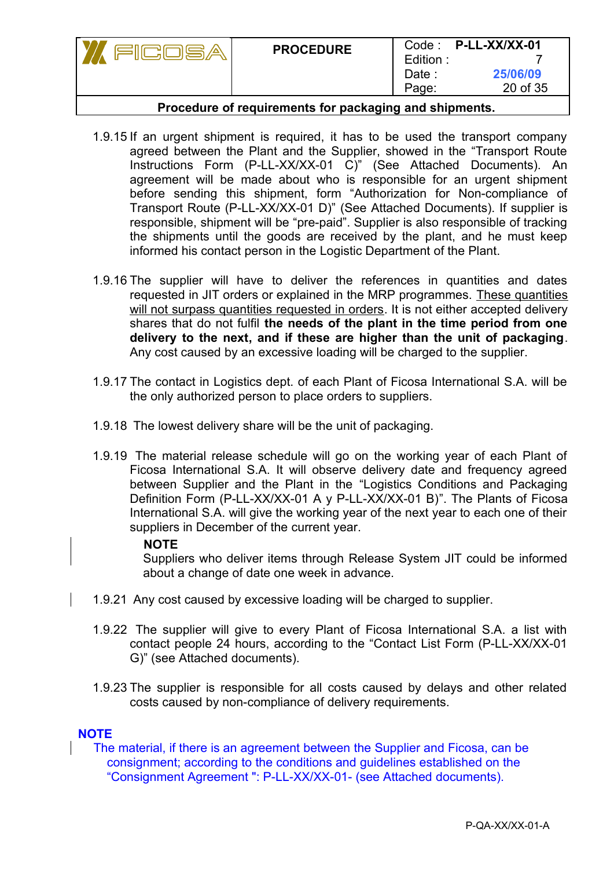|                          | <b>PROCEDURE</b> | Edition:<br>Date :<br>Page: | Code: P-LL-XX/XX-01<br>25/06/09<br>20 of 35 |
|--------------------------|------------------|-----------------------------|---------------------------------------------|
| $\overline{\phantom{0}}$ |                  |                             |                                             |

- 1.9.15 If an urgent shipment is required, it has to be used the transport company agreed between the Plant and the Supplier, showed in the "Transport Route Instructions Form (P-LL-XX/XX-01 C)" (See Attached Documents). An agreement will be made about who is responsible for an urgent shipment before sending this shipment, form "Authorization for Non-compliance of Transport Route (P-LL-XX/XX-01 D)" (See Attached Documents). If supplier is responsible, shipment will be "pre-paid". Supplier is also responsible of tracking the shipments until the goods are received by the plant, and he must keep informed his contact person in the Logistic Department of the Plant.
- 1.9.16 The supplier will have to deliver the references in quantities and dates requested in JIT orders or explained in the MRP programmes. These quantities will not surpass quantities requested in orders. It is not either accepted delivery shares that do not fulfil **the needs of the plant in the time period from one delivery to the next, and if these are higher than the unit of packaging**. Any cost caused by an excessive loading will be charged to the supplier.
- 1.9.17 The contact in Logistics dept. of each Plant of Ficosa International S.A. will be the only authorized person to place orders to suppliers.
- 1.9.18 The lowest delivery share will be the unit of packaging.
- 1.9.19 The material release schedule will go on the working year of each Plant of Ficosa International S.A. It will observe delivery date and frequency agreed between Supplier and the Plant in the "Logistics Conditions and Packaging Definition Form (P-LL-XX/XX-01 A y P-LL-XX/XX-01 B)". The Plants of Ficosa International S.A. will give the working year of the next year to each one of their suppliers in December of the current year.

#### **NOTE**

Suppliers who deliver items through Release System JIT could be informed about a change of date one week in advance.

- 1.9.21 Any cost caused by excessive loading will be charged to supplier.
- 1.9.22 The supplier will give to every Plant of Ficosa International S.A. a list with contact people 24 hours, according to the "Contact List Form (P-LL-XX/XX-01 G)" (see Attached documents).
- 1.9.23 The supplier is responsible for all costs caused by delays and other related costs caused by non-compliance of delivery requirements.

#### **NOTE**

The material, if there is an agreement between the Supplier and Ficosa, can be consignment; according to the conditions and guidelines established on the "Consignment Agreement ": P-LL-XX/XX-01- (see Attached documents).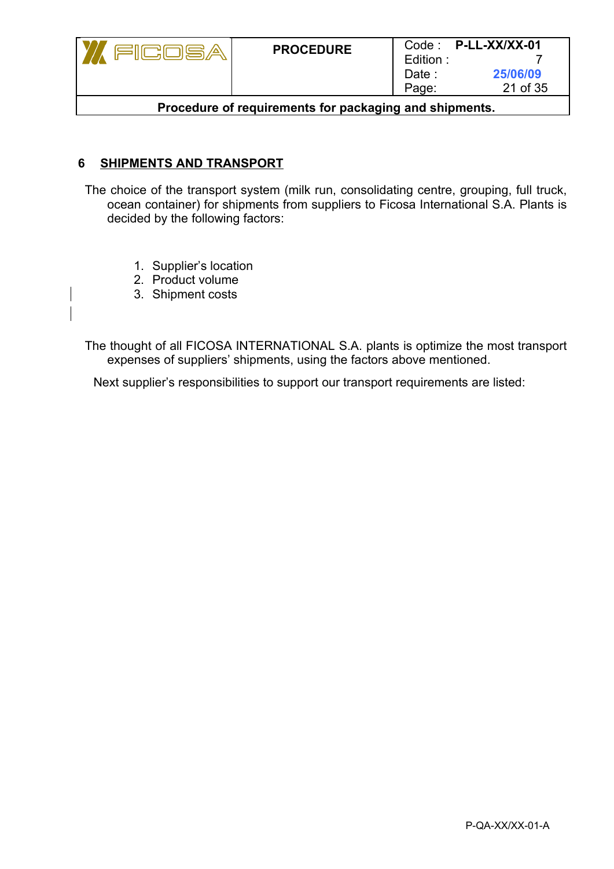|                                                        | <b>PROCEDURE</b> | Edition:<br>Date :<br>Page: | $Code:$ P-LL-XX/XX-01<br>25/06/09<br>21 of 35 |
|--------------------------------------------------------|------------------|-----------------------------|-----------------------------------------------|
| Procedure of requirements for packaging and shipments. |                  |                             |                                               |

### **6 SHIPMENTS AND TRANSPORT**

The choice of the transport system (milk run, consolidating centre, grouping, full truck, ocean container) for shipments from suppliers to Ficosa International S.A. Plants is decided by the following factors:

- 1. Supplier's location
- 2. Product volume
- 3. Shipment costs

 $\begin{array}{c} \hline \end{array}$ 

The thought of all FICOSA INTERNATIONAL S.A. plants is optimize the most transport expenses of suppliers' shipments, using the factors above mentioned.

Next supplier's responsibilities to support our transport requirements are listed: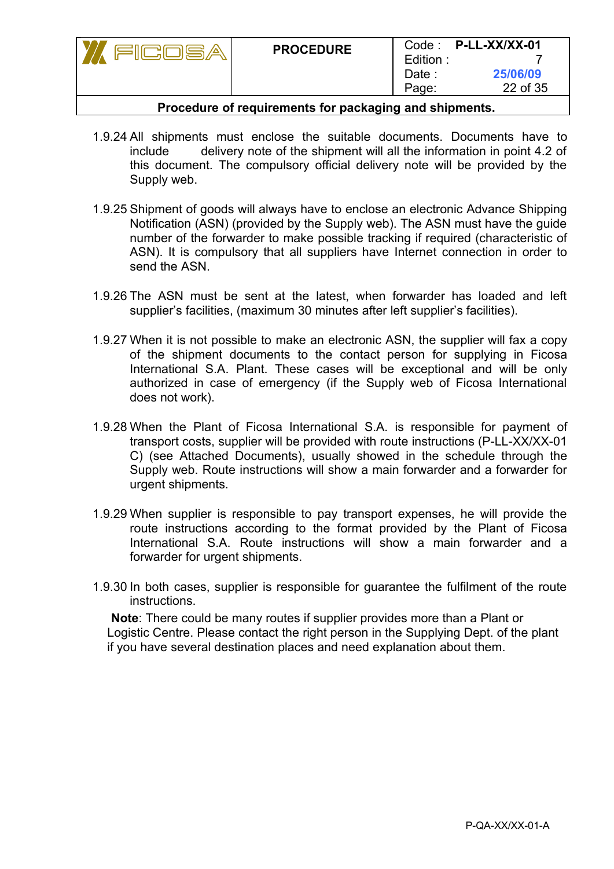|                                | <b>PROCEDURE</b> | Edition:<br>Date :<br>Page: | Code: P-LL-XX/XX-01<br>25/06/09<br>22 of 35 |
|--------------------------------|------------------|-----------------------------|---------------------------------------------|
| — I <i>f</i> I <i>If</i> II II |                  |                             |                                             |

- 1.9.24 All shipments must enclose the suitable documents. Documents have to include delivery note of the shipment will all the information in point 4.2 of this document. The compulsory official delivery note will be provided by the Supply web.
- 1.9.25 Shipment of goods will always have to enclose an electronic Advance Shipping Notification (ASN) (provided by the Supply web). The ASN must have the guide number of the forwarder to make possible tracking if required (characteristic of ASN). It is compulsory that all suppliers have Internet connection in order to send the ASN.
- 1.9.26 The ASN must be sent at the latest, when forwarder has loaded and left supplier's facilities, (maximum 30 minutes after left supplier's facilities).
- 1.9.27 When it is not possible to make an electronic ASN, the supplier will fax a copy of the shipment documents to the contact person for supplying in Ficosa International S.A. Plant. These cases will be exceptional and will be only authorized in case of emergency (if the Supply web of Ficosa International does not work).
- 1.9.28 When the Plant of Ficosa International S.A. is responsible for payment of transport costs, supplier will be provided with route instructions (P-LL-XX/XX-01 C) (see Attached Documents), usually showed in the schedule through the Supply web. Route instructions will show a main forwarder and a forwarder for urgent shipments.
- 1.9.29 When supplier is responsible to pay transport expenses, he will provide the route instructions according to the format provided by the Plant of Ficosa International S.A. Route instructions will show a main forwarder and a forwarder for urgent shipments.
- 1.9.30 In both cases, supplier is responsible for guarantee the fulfilment of the route instructions.

 **Note**: There could be many routes if supplier provides more than a Plant or Logistic Centre. Please contact the right person in the Supplying Dept. of the plant if you have several destination places and need explanation about them.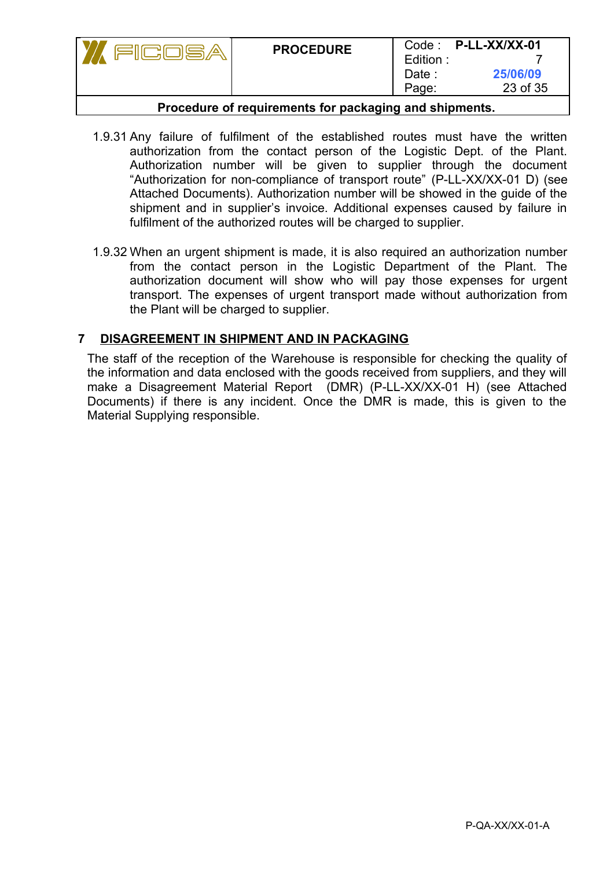|                          | <b>PROCEDURE</b> | Edition:<br>Date :<br>Page: | Code: P-LL-XX/XX-01<br>25/06/09<br>23 of 35 |
|--------------------------|------------------|-----------------------------|---------------------------------------------|
| $\overline{\phantom{a}}$ |                  |                             |                                             |

- 1.9.31 Any failure of fulfilment of the established routes must have the written authorization from the contact person of the Logistic Dept. of the Plant. Authorization number will be given to supplier through the document "Authorization for non-compliance of transport route" (P-LL-XX/XX-01 D) (see Attached Documents). Authorization number will be showed in the guide of the shipment and in supplier's invoice. Additional expenses caused by failure in fulfilment of the authorized routes will be charged to supplier.
- 1.9.32 When an urgent shipment is made, it is also required an authorization number from the contact person in the Logistic Department of the Plant. The authorization document will show who will pay those expenses for urgent transport. The expenses of urgent transport made without authorization from the Plant will be charged to supplier.

## **7 DISAGREEMENT IN SHIPMENT AND IN PACKAGING**

The staff of the reception of the Warehouse is responsible for checking the quality of the information and data enclosed with the goods received from suppliers, and they will make a Disagreement Material Report (DMR) (P-LL-XX/XX-01 H) (see Attached Documents) if there is any incident. Once the DMR is made, this is given to the Material Supplying responsible.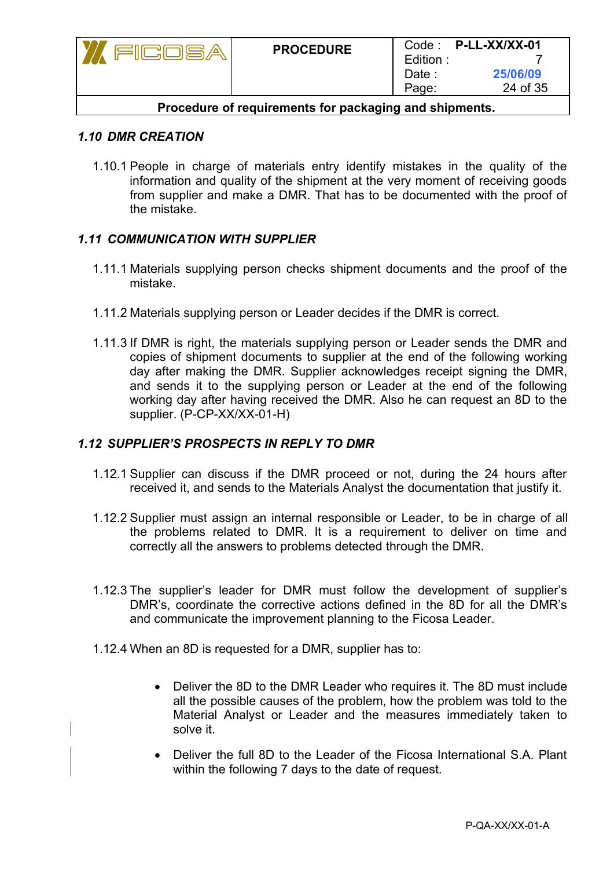| <u>ilicilije a</u>                                     | <b>PROCEDURE</b> | Edition:<br>Date :<br>Page: | $Code:$ P-LL-XX/XX-01<br>25/06/09<br>24 of 35 |
|--------------------------------------------------------|------------------|-----------------------------|-----------------------------------------------|
| Procedure of requirements for packaging and shipments. |                  |                             |                                               |

#### *1.10 DMR CREATION*

1.10.1 People in charge of materials entry identify mistakes in the quality of the information and quality of the shipment at the very moment of receiving goods from supplier and make a DMR. That has to be documented with the proof of the mistake.

#### *1.11 COMMUNICATION WITH SUPPLIER*

- 1.11.1 Materials supplying person checks shipment documents and the proof of the mistake.
- 1.11.2 Materials supplying person or Leader decides if the DMR is correct.
- 1.11.3 If DMR is right, the materials supplying person or Leader sends the DMR and copies of shipment documents to supplier at the end of the following working day after making the DMR. Supplier acknowledges receipt signing the DMR, and sends it to the supplying person or Leader at the end of the following working day after having received the DMR. Also he can request an 8D to the supplier. (P-CP-XX/XX-01-H)

## *1.12 SUPPLIER'S PROSPECTS IN REPLY TO DMR*

- 1.12.1 Supplier can discuss if the DMR proceed or not, during the 24 hours after received it, and sends to the Materials Analyst the documentation that justify it.
- 1.12.2 Supplier must assign an internal responsible or Leader, to be in charge of all the problems related to DMR. It is a requirement to deliver on time and correctly all the answers to problems detected through the DMR.
- 1.12.3 The supplier's leader for DMR must follow the development of supplier's DMR's, coordinate the corrective actions defined in the 8D for all the DMR's and communicate the improvement planning to the Ficosa Leader.
- 1.12.4 When an 8D is requested for a DMR, supplier has to:
	- Deliver the 8D to the DMR Leader who requires it. The 8D must include all the possible causes of the problem, how the problem was told to the Material Analyst or Leader and the measures immediately taken to solve it.
	- Deliver the full 8D to the Leader of the Ficosa International S.A. Plant within the following 7 days to the date of request.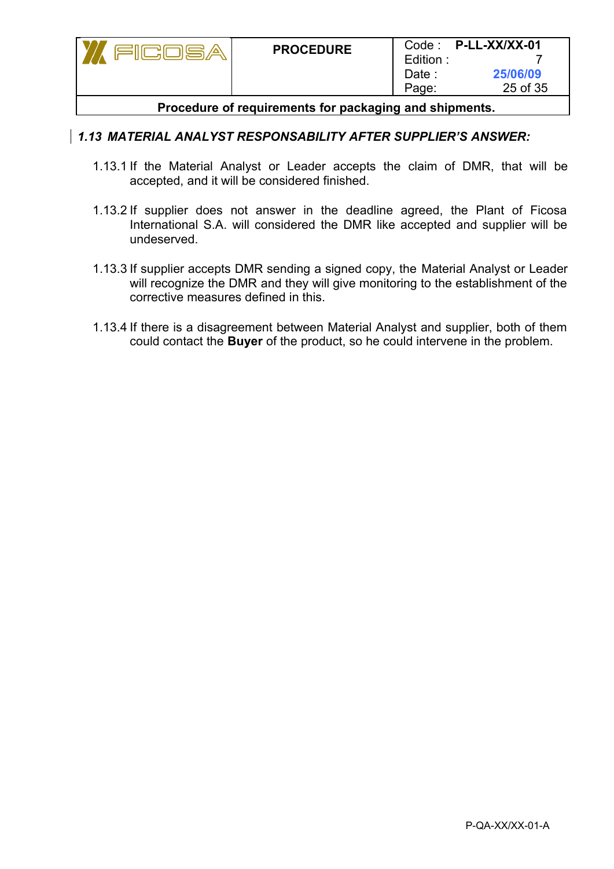|                                                        | <b>PROCEDURE</b> | Edition:<br>Date :<br>Page: | $Code:$ P-LL-XX/XX-01<br>25/06/09<br>25 of 35 |
|--------------------------------------------------------|------------------|-----------------------------|-----------------------------------------------|
| Procedure of requirements for packaging and shipments. |                  |                             |                                               |

#### *1.13 MATERIAL ANALYST RESPONSABILITY AFTER SUPPLIER'S ANSWER:*

- 1.13.1 If the Material Analyst or Leader accepts the claim of DMR, that will be accepted, and it will be considered finished.
- 1.13.2 If supplier does not answer in the deadline agreed, the Plant of Ficosa International S.A. will considered the DMR like accepted and supplier will be undeserved.
- 1.13.3 If supplier accepts DMR sending a signed copy, the Material Analyst or Leader will recognize the DMR and they will give monitoring to the establishment of the corrective measures defined in this.
- 1.13.4 If there is a disagreement between Material Analyst and supplier, both of them could contact the **Buyer** of the product, so he could intervene in the problem.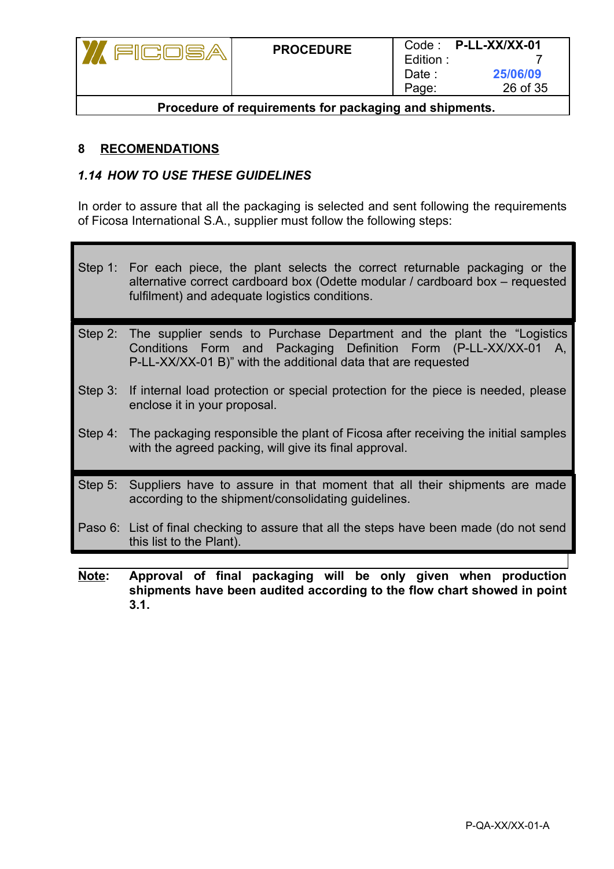| <b>PROCEDURE</b> | Code:<br>Edition.<br>Date :<br>Page: | P-LL-XX/XX-01<br>25/06/09<br>26 of 35 |
|------------------|--------------------------------------|---------------------------------------|
|                  |                                      |                                       |

## **8 RECOMENDATIONS**

### *1.14 HOW TO USE THESE GUIDELINES*

In order to assure that all the packaging is selected and sent following the requirements of Ficosa International S.A., supplier must follow the following steps:

- Step 1: For each piece, the plant selects the correct returnable packaging or the alternative correct cardboard box (Odette modular / cardboard box – requested fulfilment) and adequate logistics conditions.
- Step 2: The supplier sends to Purchase Department and the plant the "Logistics Conditions Form and Packaging Definition Form (P-LL-XX/XX-01 A, P-LL-XX/XX-01 B)" with the additional data that are requested
- Step 3: If internal load protection or special protection for the piece is needed, please enclose it in your proposal.
- Step 4: The packaging responsible the plant of Ficosa after receiving the initial samples with the agreed packing, will give its final approval.
- Step 5: Suppliers have to assure in that moment that all their shipments are made according to the shipment/consolidating guidelines.
- Paso 6: List of final checking to assure that all the steps have been made (do not send this list to the Plant).
- **Note: Approval of final packaging will be only given when production shipments have been audited according to the flow chart showed in point 3.1.**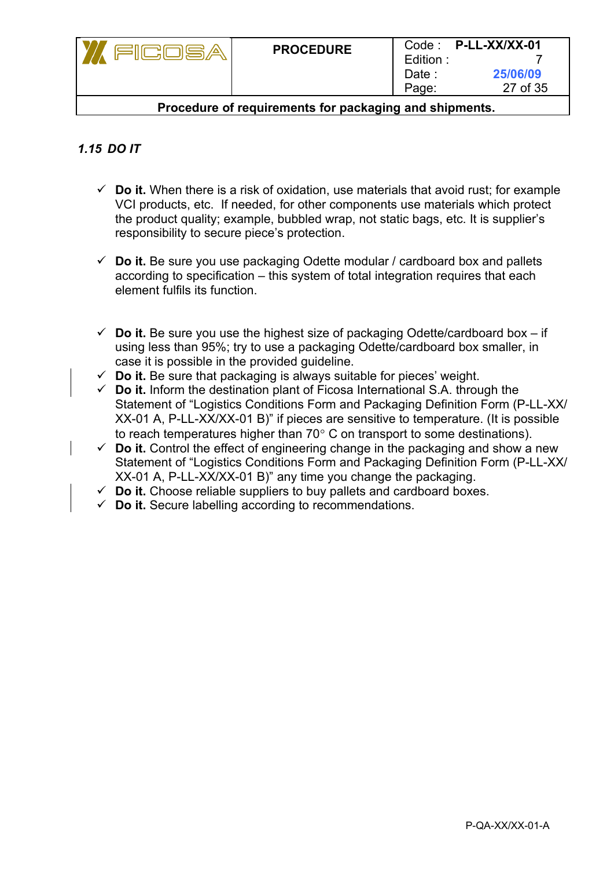| كالسائب                                                | <b>PROCEDURE</b> | Edition:<br>Date :<br>Page: | $Code:$ P-LL-XX/XX-01<br>25/06/09<br>27 of 35 |  |  |  |  |  |  |  |  |
|--------------------------------------------------------|------------------|-----------------------------|-----------------------------------------------|--|--|--|--|--|--|--|--|
| Procedure of requirements for packaging and shipments. |                  |                             |                                               |  |  |  |  |  |  |  |  |

## *1.15 DO IT*

- $\checkmark$  Do it. When there is a risk of oxidation, use materials that avoid rust; for example VCI products, etc. If needed, for other components use materials which protect the product quality; example, bubbled wrap, not static bags, etc. It is supplier's responsibility to secure piece's protection.
- $\checkmark$  Do it. Be sure you use packaging Odette modular / cardboard box and pallets according to specification – this system of total integration requires that each element fulfils its function.
- $\checkmark$  Do it. Be sure you use the highest size of packaging Odette/cardboard box if using less than 95%; try to use a packaging Odette/cardboard box smaller, in case it is possible in the provided guideline.
- $\checkmark$  **Do it.** Be sure that packaging is always suitable for pieces' weight.
- $\checkmark$  **Do it.** Inform the destination plant of Ficosa International S.A. through the Statement of "Logistics Conditions Form and Packaging Definition Form (P-LL-XX/ XX-01 A, P-LL-XX/XX-01 B)" if pieces are sensitive to temperature. (It is possible to reach temperatures higher than  $70^{\circ}$  C on transport to some destinations).
- **Do it.** Control the effect of engineering change in the packaging and show a new Statement of "Logistics Conditions Form and Packaging Definition Form (P-LL-XX/ XX-01 A, P-LL-XX/XX-01 B)" any time you change the packaging.
- $\checkmark$  **Do it.** Choose reliable suppliers to buy pallets and cardboard boxes.
- $\checkmark$  **Do it.** Secure labelling according to recommendations.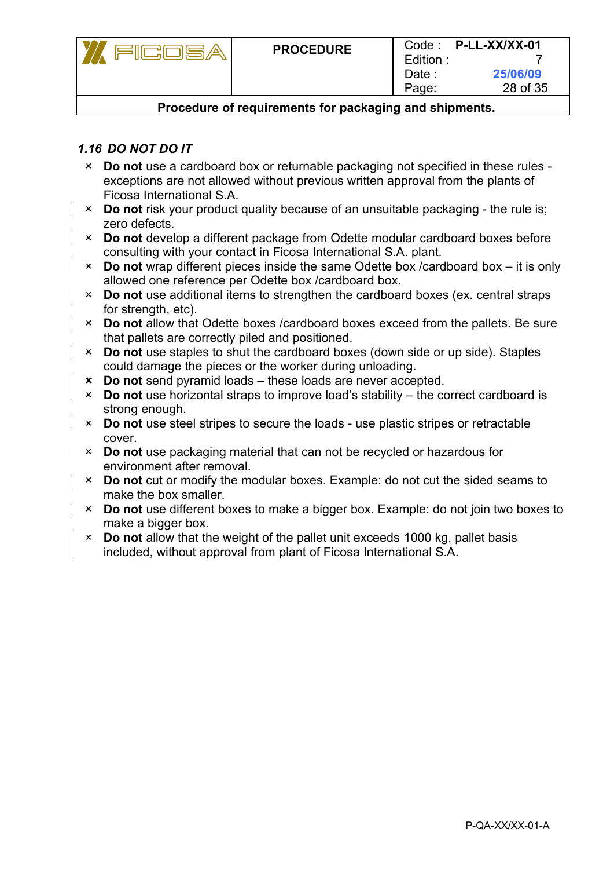| *9回盟日 63 | <b>PROCEDURE</b>                                       | Edition:<br>Date :<br>Page: | $Code:$ P-LL-XX/XX-01<br>25/06/09<br>28 of 35 |
|----------|--------------------------------------------------------|-----------------------------|-----------------------------------------------|
|          | Procedure of requirements for packaging and shipments. |                             |                                               |

## *1.16 DO NOT DO IT*

- **Do not** use a cardboard box or returnable packaging not specified in these rules exceptions are not allowed without previous written approval from the plants of Ficosa International S.A.
- **Do not** risk your product quality because of an unsuitable packaging the rule is; zero defects.
- **Do not** develop a different package from Odette modular cardboard boxes before consulting with your contact in Ficosa International S.A. plant.
- **Do not** wrap different pieces inside the same Odette box /cardboard box it is only allowed one reference per Odette box /cardboard box.
- **Do not** use additional items to strengthen the cardboard boxes (ex. central straps for strength, etc).
- **Do not** allow that Odette boxes /cardboard boxes exceed from the pallets. Be sure that pallets are correctly piled and positioned.
- **Do not** use staples to shut the cardboard boxes (down side or up side). Staples could damage the pieces or the worker during unloading.
- **Do not** send pyramid loads these loads are never accepted.
- **Do not** use horizontal straps to improve load's stability the correct cardboard is strong enough.
- **Do not** use steel stripes to secure the loads use plastic stripes or retractable cover.
- **Do not** use packaging material that can not be recycled or hazardous for environment after removal.
- **Do not** cut or modify the modular boxes. Example: do not cut the sided seams to make the box smaller.
- **Do not** use different boxes to make a bigger box. Example: do not join two boxes to make a bigger box.
- **Do not** allow that the weight of the pallet unit exceeds 1000 kg, pallet basis included, without approval from plant of Ficosa International S.A.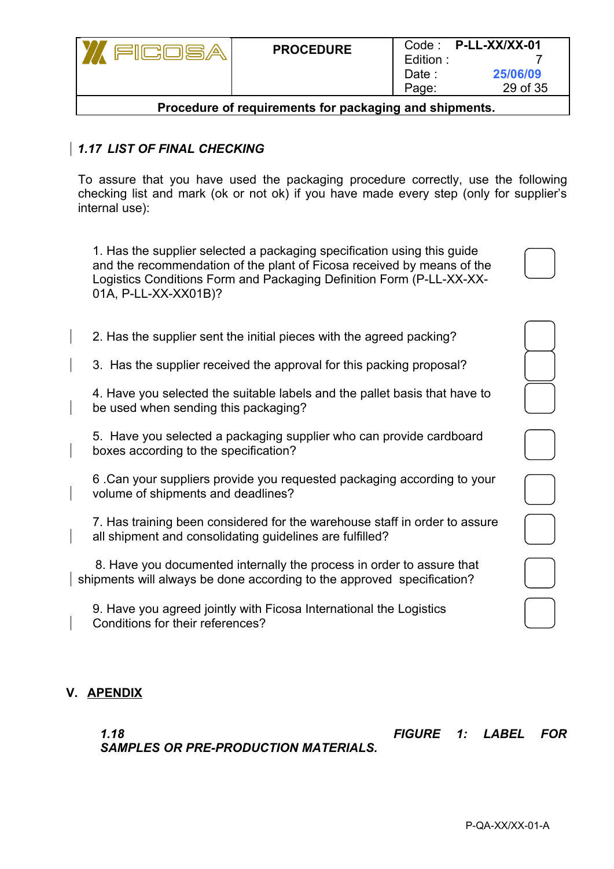| TICOSA                                                 | <b>PROCEDURE</b> | Edition:<br>Date :<br>Page: | Code: P-LL-XX/XX-01<br>25/06/09<br>29 of 35 |  |  |  |  |  |  |  |  |  |
|--------------------------------------------------------|------------------|-----------------------------|---------------------------------------------|--|--|--|--|--|--|--|--|--|
| Procedure of requirements for packaging and shipments. |                  |                             |                                             |  |  |  |  |  |  |  |  |  |

## *1.17 LIST OF FINAL CHECKING*

To assure that you have used the packaging procedure correctly, use the following checking list and mark (ok or not ok) if you have made every step (only for supplier's internal use):

1. Has the supplier selected a packaging specification using this guide and the recommendation of the plant of Ficosa received by means of the Logistics Conditions Form and Packaging Definition Form (P-LL-XX-XX-01A, P-LL-XX-XX01B)?

|  |  |  |  | 2. Has the supplier sent the initial pieces with the agreed packing? |
|--|--|--|--|----------------------------------------------------------------------|
|  |  |  |  |                                                                      |

3. Has the supplier received the approval for this packing proposal?

4. Have you selected the suitable labels and the pallet basis that have to be used when sending this packaging?

5. Have you selected a packaging supplier who can provide cardboard boxes according to the specification?

6 .Can your suppliers provide you requested packaging according to your volume of shipments and deadlines?

7. Has training been considered for the warehouse staff in order to assure all shipment and consolidating guidelines are fulfilled?

 8. Have you documented internally the process in order to assure that shipments will always be done according to the approved specification?

9. Have you agreed jointly with Ficosa International the Logistics Conditions for their references?

#### **V. APENDIX**

*SAMPLES OR PRE-PRODUCTION MATERIALS.*

*1.18 FIGURE 1: LABEL FOR*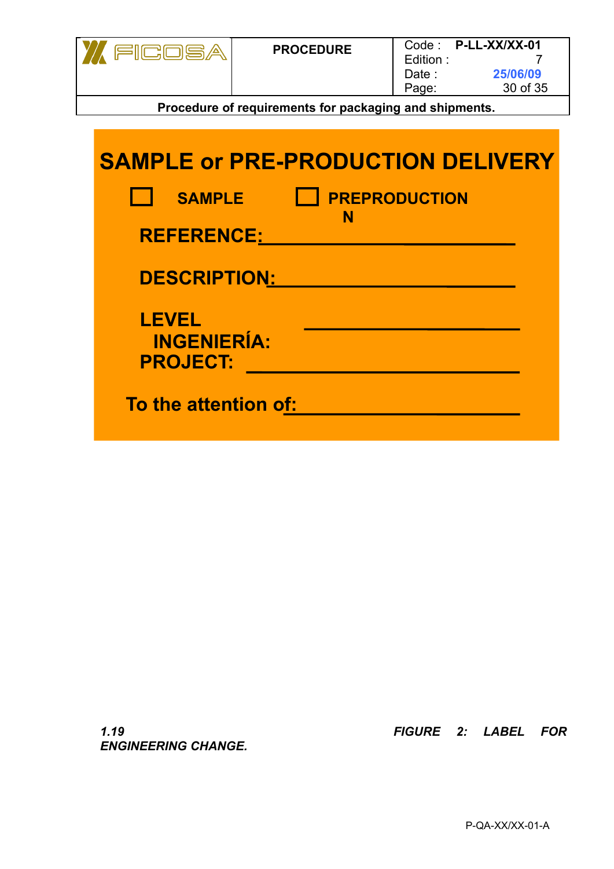| 利己的同性 | <b>PROCEDURE</b>                                       | Edition:<br>Date :<br>Page: | $Code:$ P-LL-XX/XX-01<br>25/06/09<br>30 of 35 |
|-------|--------------------------------------------------------|-----------------------------|-----------------------------------------------|
|       | Procedure of requirements for packaging and shipments. |                             |                                               |

| <b>SAMPLE</b>                                         | <b>PREPRODUCTION</b><br>N |
|-------------------------------------------------------|---------------------------|
| <b>REFERENCE:</b>                                     |                           |
| <b>DESCRIPTION:</b>                                   |                           |
| <b>LEVEL</b><br><b>INGENIERÍA:</b><br><b>PROJECT:</b> |                           |
| To the attention of:                                  |                           |

*ENGINEERING CHANGE.*

*1.19 FIGURE 2: LABEL FOR*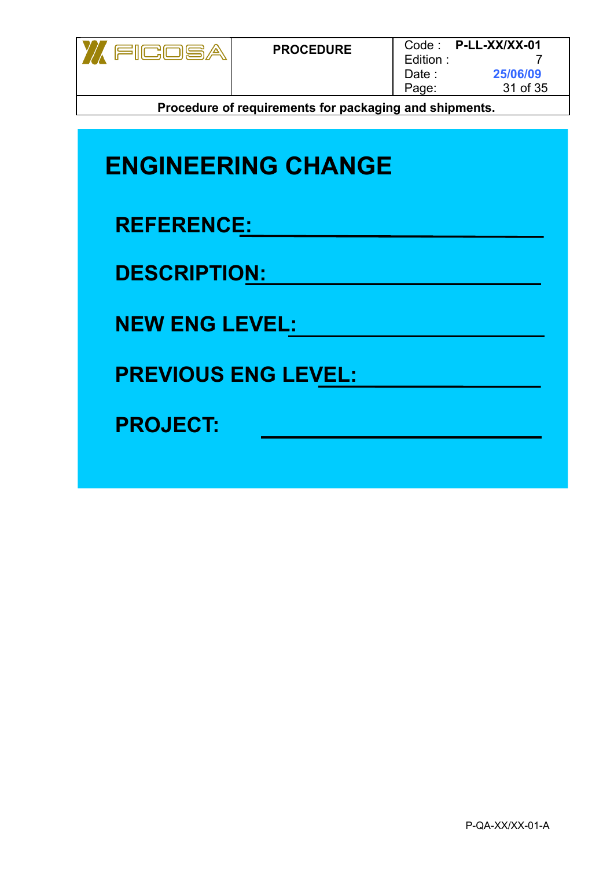

| <b>ENGINEERING CHANGE</b>  |
|----------------------------|
| <b>REFERENCE:</b>          |
| <b>DESCRIPTION:</b>        |
| <b>NEW ENG LEVEL:</b>      |
| <b>PREVIOUS ENG LEVEL:</b> |
| <b>PROJECT:</b>            |
|                            |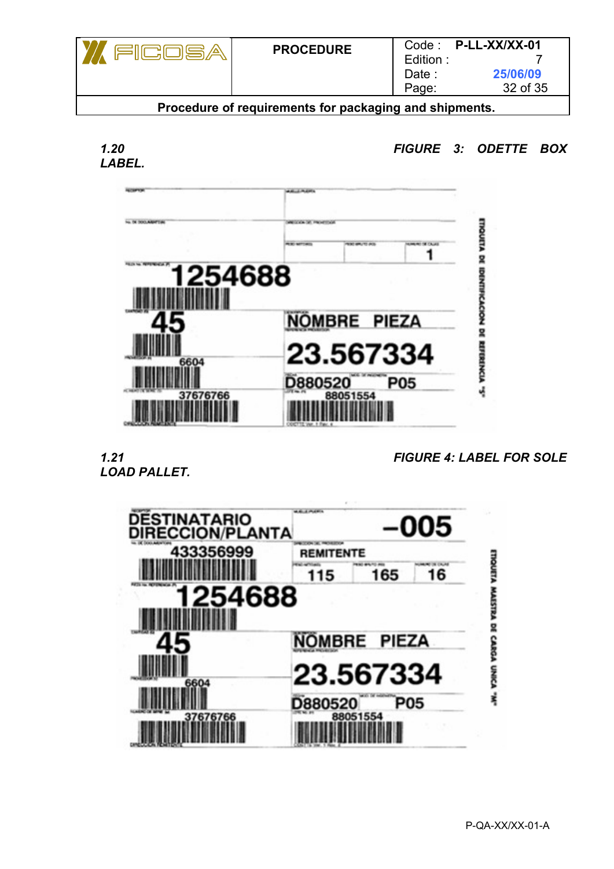|                                                              | <b>PROCEDURE</b> | Edition:<br>Date :<br>Page: | Code: P-LL-XX/XX-01<br>25/06/09<br>32 of 35 |  |  |  |  |  |  |  |
|--------------------------------------------------------------|------------------|-----------------------------|---------------------------------------------|--|--|--|--|--|--|--|
| <b>Drogodure of requirements for postaging and objements</b> |                  |                             |                                             |  |  |  |  |  |  |  |



*1.20 FIGURE 3: ODETTE BOX*



*LOAD PALLET.*

*1.21 FIGURE 4: LABEL FOR SOLE*

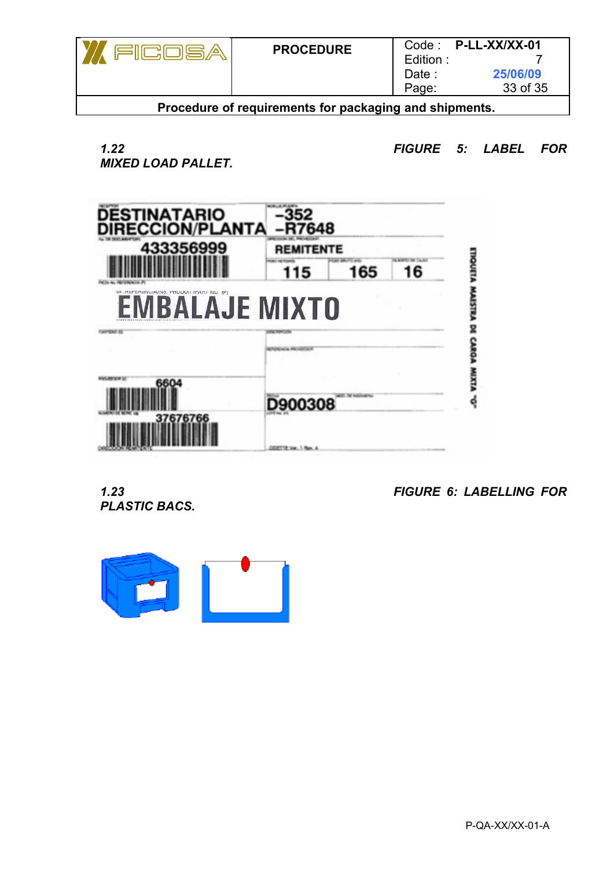| <b>PROCEDURE</b>                                                                                               | Edition:<br>Date :<br>Page: | Code: P-LL-XX/XX-01<br>25/06/09<br>33 of 35 |  |  |  |  |  |  |  |  |  |  |
|----------------------------------------------------------------------------------------------------------------|-----------------------------|---------------------------------------------|--|--|--|--|--|--|--|--|--|--|
| ■ control of the control of the formal control of the film of the control of the control of the control of the |                             |                                             |  |  |  |  |  |  |  |  |  |  |

*MIXED LOAD PALLET.*

*1.22 FIGURE 5: LABEL FOR*



*PLASTIC BACS.*

*1.23 FIGURE 6: LABELLING FOR*

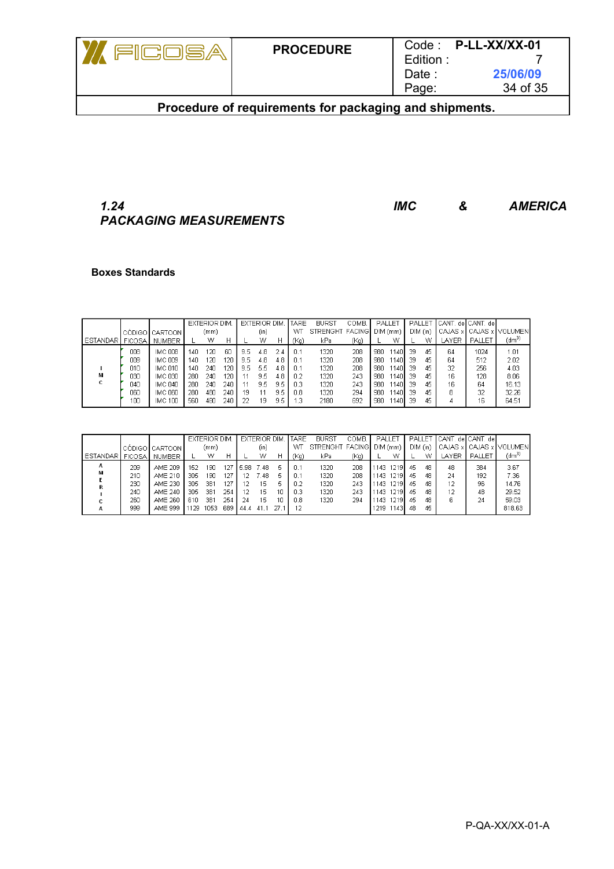| <b>PROCEDURE</b> | Edition:<br>Date:<br>Page: | Code: P-LL-XX/XX-01<br>25/06/09<br>34 of 35 |
|------------------|----------------------------|---------------------------------------------|
|                  |                            |                                             |

## *1.24 IMC & AMERICA PACKAGING MEASUREMENTS*

#### **Boxes Standards**

|            |     |                |     | <b>EXTERIOR DIM</b> |     |     | <b>EXTERIOR DIM.</b> |     | TARE | <b>BURST</b>    | COMB. |     | PALLET   |    | PALLET   | <b>ICANT.</b> del CANT. del |        |                         |
|------------|-----|----------------|-----|---------------------|-----|-----|----------------------|-----|------|-----------------|-------|-----|----------|----|----------|-----------------------------|--------|-------------------------|
|            |     | CÓDIGO CARTOON |     | (mm)                |     |     | (in)                 |     | WЛ   | STRENGHT FACING |       |     | DIM (mm) |    | DIM (in) |                             |        | CAJAS x CAJAS x VOLUMEN |
| ESTANDAR I |     | FICOSA NUMBER  |     | W                   | Н   |     | w                    | Н   | (Kg) | kPa             | (Kg)  |     | w        |    | w        | LAYER.                      | PALLET | (dm <sup>3</sup> )      |
|            | 008 | IMC 008        | 140 | 20                  | 60  | 9.5 | 4.8                  | 2.4 | 0.1  | 1320            | 208   | 980 | 1140     | 39 | 45       | 64                          | 1024   | 1.01                    |
|            | 009 | IMC 009        | 14N | 20                  | 120 | 9.5 | 4.8                  | 4.8 | n 1  | 1320            | 208   | 980 | 1140     | 39 | 45       | 64                          | 512    | 2.02                    |
|            | 010 | <b>IMC 010</b> | 14N | 240                 | 120 | 9.5 | 5.5                  | 4.8 | -0.1 | 1320            | 208   | 980 | 1140     | 39 | 45       | 32                          | 256    | 4.03                    |
| м          | 030 | <b>IMC 030</b> | 280 | 240                 | 120 |     | 9.5                  | 4.8 | 0.2  | 1320            | 243   | 980 | 1140     | 39 | 45       | 16                          | 128    | 8.06                    |
|            | 040 | <b>IMC 040</b> | 280 | 240                 | 240 |     | 9.5                  | 9.5 | 0.3  | 1320            | 243   | 980 | 1140     | 39 | 45       | 16                          | 64     | 16.13                   |
|            | 060 | <b>IMC 060</b> | 280 | 480                 | 240 | 19  | 11                   | 9.5 | 0.8  | 1320            | 294   | 980 | 11401    | 39 | 45       | 8                           | 32     | 32.26                   |
|            | 100 | IMC 100        | 560 | 480                 | 240 | 22  | 19                   | 9.5 | 1.3  | 2180            | 692   | 980 | 1140     | 39 | 45       |                             | 16     | 64.51                   |

|            |     |                      |      | <b>EXTERIOR DIM.</b> |     |       | <b>EXTERIOR DIM.</b> |    | <b>ITARE</b> | <b>BURST</b>    | COMB. | PALLET    |   | PALLET |          | ' ∥CANT, de∥CANT, de∥ |        |                              |
|------------|-----|----------------------|------|----------------------|-----|-------|----------------------|----|--------------|-----------------|-------|-----------|---|--------|----------|-----------------------|--------|------------------------------|
|            |     | . CÓDIGO I CARTOON I |      | (mm)                 |     |       | (in)                 |    | WТ           | STRENGHT FACING |       | DIM (mm)  |   |        | DIM (in) |                       |        | ∐ CAJAS x LCAJAS x LVOLUMENL |
| ESTANDAR I |     | FICOSA NUMBER        |      | w                    | Н   |       | w                    | н  | (Kg)         | kPa.            | (Kg)  |           | W |        | w        | <b>LAYER</b>          | PALLET | (dm <sup>3</sup> )           |
| A          | 209 | AME 209              | 152  | 190                  | 127 | 15.98 | -7.48                | 5  | -0.1         | 1320            | 208   | 1143 1219 |   | 45     | 48       | 48                    | 384    | 3.67                         |
| м          | 210 | AME 210              | 305  | 190                  | 127 | 12    | ' 48.                | 5  | -0.1         | 1320            | 208   | 1143 1219 |   | 45     | 48       | 24                    | 192    | 7.36                         |
|            | 230 | AME 230              | 305  | 381                  | 127 | 12    | 15                   | ь  | 0.2          | 1320            | 243   | 1143 1219 |   | 45     | 48       | 12                    | 96     | 14.76                        |
|            | 240 | AME 240              | 305  | 381                  | 254 | 12    | 15                   | 10 | 0.3          | 1320            | 243   | 1143 1219 |   | 45     | 48       | 12                    | 48     | 29.52                        |
|            | 260 | AME 260              | 610  | 381                  | 254 | 24    | 15                   | 10 | 0.8          | 1320            | 294   | 1143 1219 |   | 45     | 48       | 6                     | 24     | 59.03                        |
| А          | 999 | AME 999              | 1129 | 1053                 | 689 | 144.4 | 41.1                 |    | 12           |                 |       | 1219 1143 |   | 48     | 45       |                       |        | 818.63                       |